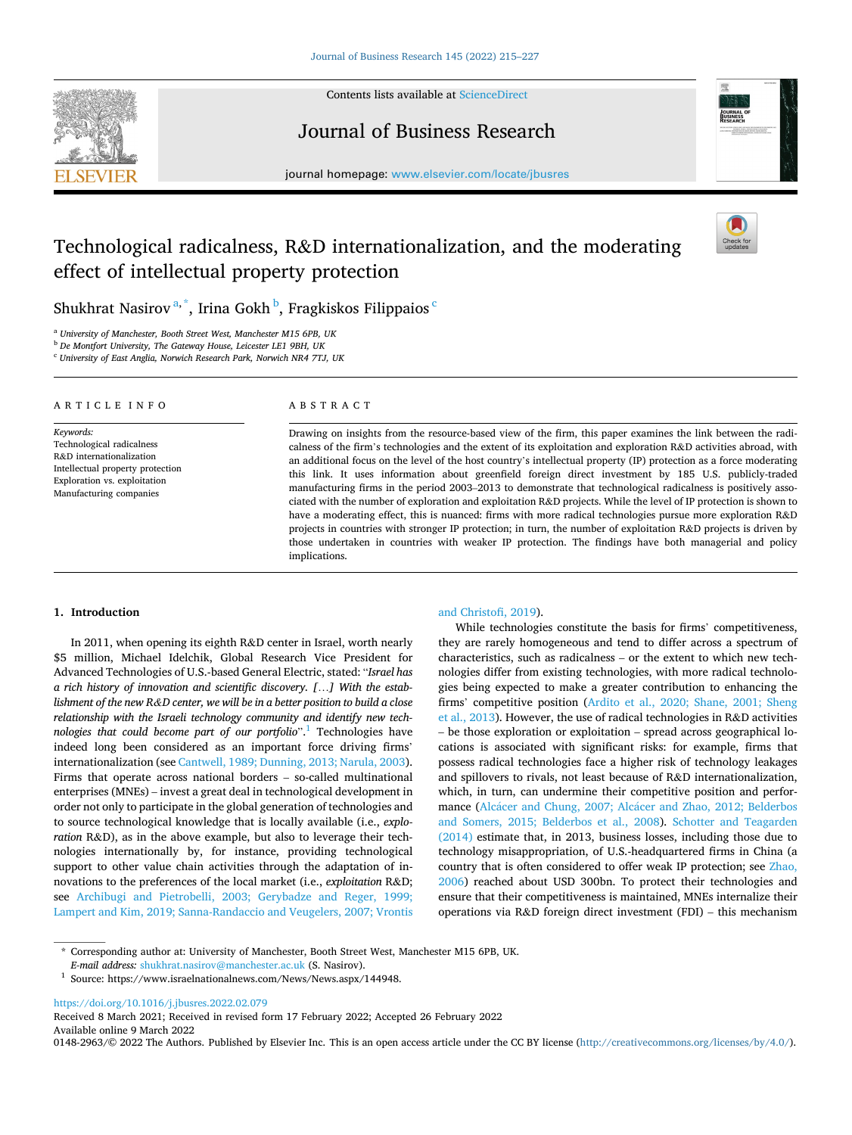

Contents lists available at [ScienceDirect](www.sciencedirect.com/science/journal/01482963)

Journal of Business Research



journal homepage: [www.elsevier.com/locate/jbusres](https://www.elsevier.com/locate/jbusres)

# Technological radicalness, R&D internationalization, and the moderating effect of intellectual property protection



Shukhrat Nasirov $^{\mathrm{a},\mathrm{*}}$ , Irina Gokh $^{\mathrm{b}}$ , Fragkiskos Filippaios  $^{\mathrm{c}}$ 

<sup>a</sup> *University of Manchester, Booth Street West, Manchester M15 6PB, UK* 

<sup>b</sup> *De Montfort University, The Gateway House, Leicester LE1 9BH, UK* 

<sup>c</sup> *University of East Anglia, Norwich Research Park, Norwich NR4 7TJ, UK* 

#### ARTICLE INFO

*Keywords:*  Technological radicalness R&D internationalization Intellectual property protection Exploration vs. exploitation Manufacturing companies

## ABSTRACT

Drawing on insights from the resource-based view of the firm, this paper examines the link between the radicalness of the firm's technologies and the extent of its exploitation and exploration R&D activities abroad, with an additional focus on the level of the host country's intellectual property (IP) protection as a force moderating this link. It uses information about greenfield foreign direct investment by 185 U.S. publicly-traded manufacturing firms in the period 2003–2013 to demonstrate that technological radicalness is positively associated with the number of exploration and exploitation R&D projects. While the level of IP protection is shown to have a moderating effect, this is nuanced: firms with more radical technologies pursue more exploration R&D projects in countries with stronger IP protection; in turn, the number of exploitation R&D projects is driven by those undertaken in countries with weaker IP protection. The findings have both managerial and policy implications.

# **1. Introduction**

In 2011, when opening its eighth R&D center in Israel, worth nearly \$5 million, Michael Idelchik, Global Research Vice President for Advanced Technologies of U.S.-based General Electric, stated: "*Israel has a rich history of innovation and scientific discovery. [*…*] With the establishment of the new R&D center, we will be in a better position to build a close relationship with the Israeli technology community and identify new technologies that could become part of our portfolio*". 1 Technologies have indeed long been considered as an important force driving firms' internationalization (see [Cantwell, 1989; Dunning, 2013; Narula, 2003](#page-11-0)). Firms that operate across national borders – so-called multinational enterprises (MNEs) – invest a great deal in technological development in order not only to participate in the global generation of technologies and to source technological knowledge that is locally available (i.e., *exploration* R&D), as in the above example, but also to leverage their technologies internationally by, for instance, providing technological support to other value chain activities through the adaptation of innovations to the preferences of the local market (i.e., *exploitation* R&D; see [Archibugi and Pietrobelli, 2003; Gerybadze and Reger, 1999;](#page-10-0)  [Lampert and Kim, 2019; Sanna-Randaccio and Veugelers, 2007; Vrontis](#page-10-0) 

# [and Christofi, 2019\)](#page-10-0).

While technologies constitute the basis for firms' competitiveness, they are rarely homogeneous and tend to differ across a spectrum of characteristics, such as radicalness – or the extent to which new technologies differ from existing technologies, with more radical technologies being expected to make a greater contribution to enhancing the firms' competitive position [\(Ardito et al., 2020; Shane, 2001; Sheng](#page-10-0)  [et al., 2013](#page-10-0)). However, the use of radical technologies in R&D activities – be those exploration or exploitation – spread across geographical locations is associated with significant risks: for example, firms that possess radical technologies face a higher risk of technology leakages and spillovers to rivals, not least because of R&D internationalization, which, in turn, can undermine their competitive position and performance (Alcácer and Chung, 2007; Alcácer and Zhao, 2012; Belderbos [and Somers, 2015; Belderbos et al., 2008](#page-10-0)). [Schotter and Teagarden](#page-11-0)  [\(2014\)](#page-11-0) estimate that, in 2013, business losses, including those due to technology misappropriation, of U.S.-headquartered firms in China (a country that is often considered to offer weak IP protection; see [Zhao,](#page-12-0)  [2006\)](#page-12-0) reached about USD 300bn. To protect their technologies and ensure that their competitiveness is maintained, MNEs internalize their operations via R&D foreign direct investment (FDI) – this mechanism

\* Corresponding author at: University of Manchester, Booth Street West, Manchester M15 6PB, UK.

<https://doi.org/10.1016/j.jbusres.2022.02.079>

Available online 9 March 2022 0148-2963/© 2022 The Authors. Published by Elsevier Inc. This is an open access article under the CC BY license(<http://creativecommons.org/licenses/by/4.0/>). Received 8 March 2021; Received in revised form 17 February 2022; Accepted 26 February 2022

<sup>&</sup>lt;sup>1</sup> Source: https://www.israelnationalnews.com/News/News.aspx/144948.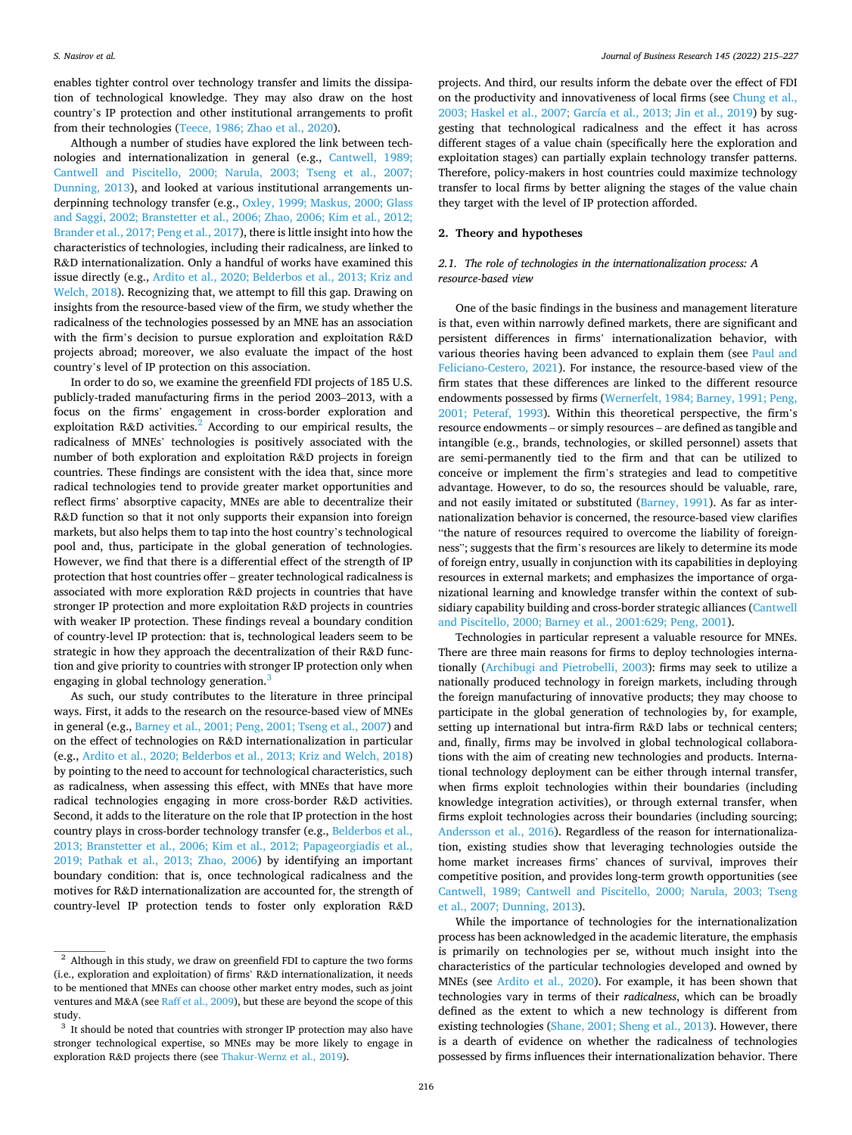enables tighter control over technology transfer and limits the dissipation of technological knowledge. They may also draw on the host country's IP protection and other institutional arrangements to profit from their technologies [\(Teece, 1986; Zhao et al., 2020](#page-12-0)).

Although a number of studies have explored the link between technologies and internationalization in general (e.g., [Cantwell, 1989;](#page-11-0)  [Cantwell and Piscitello, 2000; Narula, 2003; Tseng et al., 2007;](#page-11-0)  [Dunning, 2013\)](#page-11-0), and looked at various institutional arrangements underpinning technology transfer (e.g., Oxley, 1999; Maskus, 2000; Glass [and Saggi, 2002; Branstetter et al., 2006; Zhao, 2006; Kim et al., 2012;](#page-11-0)  [Brander et al., 2017; Peng et al., 2017](#page-11-0)), there is little insight into how the characteristics of technologies, including their radicalness, are linked to R&D internationalization. Only a handful of works have examined this issue directly (e.g., [Ardito et al., 2020; Belderbos et al., 2013; Kriz and](#page-10-0)  [Welch, 2018\)](#page-10-0). Recognizing that, we attempt to fill this gap. Drawing on insights from the resource-based view of the firm, we study whether the radicalness of the technologies possessed by an MNE has an association with the firm's decision to pursue exploration and exploitation R&D projects abroad; moreover, we also evaluate the impact of the host country's level of IP protection on this association.

In order to do so, we examine the greenfield FDI projects of 185 U.S. publicly-traded manufacturing firms in the period 2003–2013, with a focus on the firms' engagement in cross-border exploration and exploitation R&D activities.<sup>2</sup> According to our empirical results, the radicalness of MNEs' technologies is positively associated with the number of both exploration and exploitation R&D projects in foreign countries. These findings are consistent with the idea that, since more radical technologies tend to provide greater market opportunities and reflect firms' absorptive capacity, MNEs are able to decentralize their R&D function so that it not only supports their expansion into foreign markets, but also helps them to tap into the host country's technological pool and, thus, participate in the global generation of technologies. However, we find that there is a differential effect of the strength of IP protection that host countries offer – greater technological radicalness is associated with more exploration R&D projects in countries that have stronger IP protection and more exploitation R&D projects in countries with weaker IP protection. These findings reveal a boundary condition of country-level IP protection: that is, technological leaders seem to be strategic in how they approach the decentralization of their R&D function and give priority to countries with stronger IP protection only when engaging in global technology generation.<sup>3</sup>

As such, our study contributes to the literature in three principal ways. First, it adds to the research on the resource-based view of MNEs in general (e.g., [Barney et al., 2001; Peng, 2001; Tseng et al., 2007\)](#page-10-0) and on the effect of technologies on R&D internationalization in particular (e.g., [Ardito et al., 2020; Belderbos et al., 2013; Kriz and Welch, 2018\)](#page-10-0) by pointing to the need to account for technological characteristics, such as radicalness, when assessing this effect, with MNEs that have more radical technologies engaging in more cross-border R&D activities. Second, it adds to the literature on the role that IP protection in the host country plays in cross-border technology transfer (e.g., [Belderbos et al.,](#page-10-0)  [2013; Branstetter et al., 2006; Kim et al., 2012; Papageorgiadis et al.,](#page-10-0)  [2019; Pathak et al., 2013; Zhao, 2006\)](#page-10-0) by identifying an important boundary condition: that is, once technological radicalness and the motives for R&D internationalization are accounted for, the strength of country-level IP protection tends to foster only exploration R&D

projects. And third, our results inform the debate over the effect of FDI on the productivity and innovativeness of local firms (see [Chung et al.,](#page-11-0)  [2003; Haskel et al., 2007; García et al., 2013; Jin et al., 2019](#page-11-0)) by suggesting that technological radicalness and the effect it has across different stages of a value chain (specifically here the exploration and exploitation stages) can partially explain technology transfer patterns. Therefore, policy-makers in host countries could maximize technology transfer to local firms by better aligning the stages of the value chain they target with the level of IP protection afforded.

# **2. Theory and hypotheses**

# *2.1. The role of technologies in the internationalization process: A resource-based view*

One of the basic findings in the business and management literature is that, even within narrowly defined markets, there are significant and persistent differences in firms' internationalization behavior, with various theories having been advanced to explain them (see [Paul and](#page-11-0)  [Feliciano-Cestero, 2021](#page-11-0)). For instance, the resource-based view of the firm states that these differences are linked to the different resource endowments possessed by firms ([Wernerfelt, 1984; Barney, 1991; Peng,](#page-12-0)  [2001; Peteraf, 1993\)](#page-12-0). Within this theoretical perspective, the firm's resource endowments – or simply resources – are defined as tangible and intangible (e.g., brands, technologies, or skilled personnel) assets that are semi-permanently tied to the firm and that can be utilized to conceive or implement the firm's strategies and lead to competitive advantage. However, to do so, the resources should be valuable, rare, and not easily imitated or substituted ([Barney, 1991\)](#page-10-0). As far as internationalization behavior is concerned, the resource-based view clarifies "the nature of resources required to overcome the liability of foreignness"; suggests that the firm's resources are likely to determine its mode of foreign entry, usually in conjunction with its capabilities in deploying resources in external markets; and emphasizes the importance of organizational learning and knowledge transfer within the context of subsidiary capability building and cross-border strategic alliances ([Cantwell](#page-11-0)  [and Piscitello, 2000; Barney et al., 2001:629; Peng, 2001\)](#page-11-0).

Technologies in particular represent a valuable resource for MNEs. There are three main reasons for firms to deploy technologies internationally ([Archibugi and Pietrobelli, 2003](#page-10-0)): firms may seek to utilize a nationally produced technology in foreign markets, including through the foreign manufacturing of innovative products; they may choose to participate in the global generation of technologies by, for example, setting up international but intra-firm R&D labs or technical centers; and, finally, firms may be involved in global technological collaborations with the aim of creating new technologies and products. International technology deployment can be either through internal transfer, when firms exploit technologies within their boundaries (including knowledge integration activities), or through external transfer, when firms exploit technologies across their boundaries (including sourcing; [Andersson et al., 2016](#page-10-0)). Regardless of the reason for internationalization, existing studies show that leveraging technologies outside the home market increases firms' chances of survival, improves their competitive position, and provides long-term growth opportunities (see [Cantwell, 1989; Cantwell and Piscitello, 2000; Narula, 2003; Tseng](#page-11-0)  [et al., 2007; Dunning, 2013](#page-11-0)).

While the importance of technologies for the internationalization process has been acknowledged in the academic literature, the emphasis is primarily on technologies per se, without much insight into the characteristics of the particular technologies developed and owned by MNEs (see [Ardito et al., 2020](#page-10-0)). For example, it has been shown that technologies vary in terms of their *radicalness*, which can be broadly defined as the extent to which a new technology is different from existing technologies [\(Shane, 2001; Sheng et al., 2013](#page-11-0)). However, there is a dearth of evidence on whether the radicalness of technologies possessed by firms influences their internationalization behavior. There

<sup>2</sup> Although in this study, we draw on greenfield FDI to capture the two forms (i.e., exploration and exploitation) of firms' R&D internationalization, it needs to be mentioned that MNEs can choose other market entry modes, such as joint ventures and M&A (see [Raff et al., 2009\)](#page-11-0), but these are beyond the scope of this study.

<sup>&</sup>lt;sup>3</sup> It should be noted that countries with stronger IP protection may also have stronger technological expertise, so MNEs may be more likely to engage in exploration R&D projects there (see [Thakur-Wernz et al., 2019\)](#page-12-0).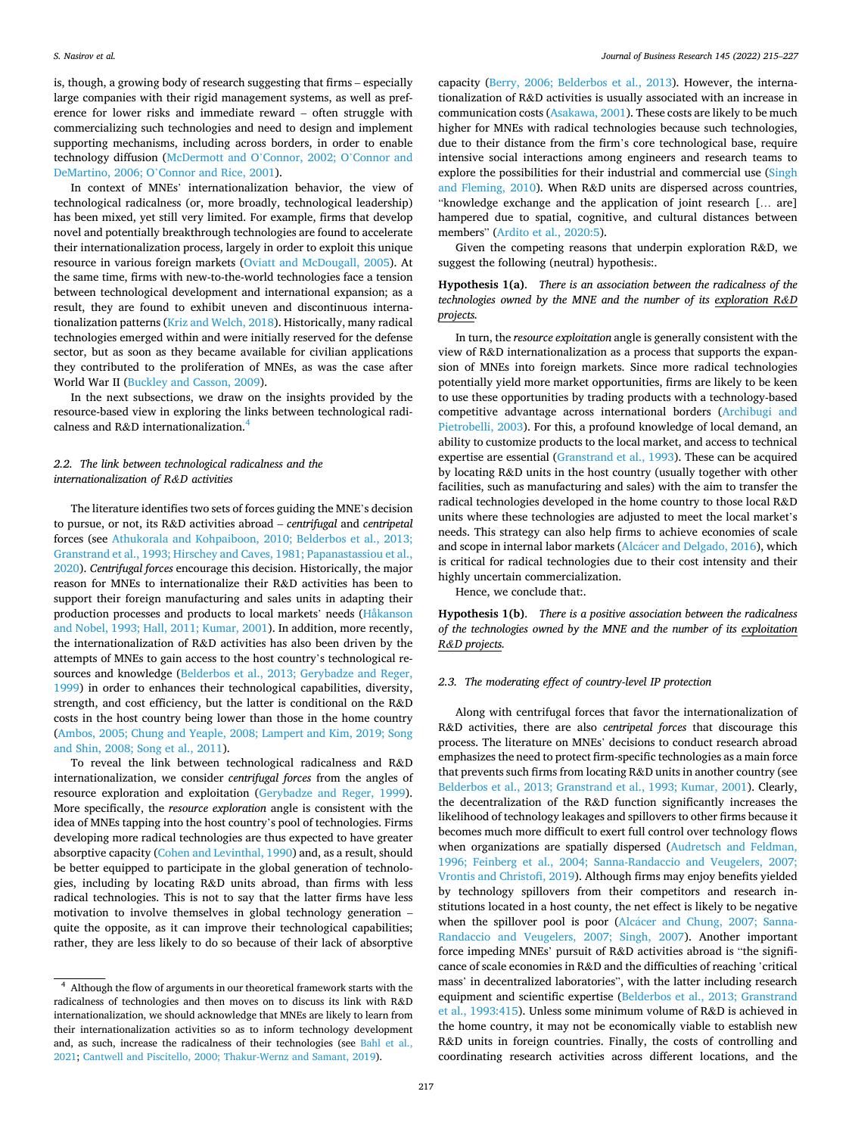is, though, a growing body of research suggesting that firms – especially large companies with their rigid management systems, as well as preference for lower risks and immediate reward – often struggle with commercializing such technologies and need to design and implement supporting mechanisms, including across borders, in order to enable technology diffusion ([McDermott and O](#page-11-0)'Connor, 2002; O'Connor and DeMartino, 2006; O'[Connor and Rice, 2001](#page-11-0)).

In context of MNEs' internationalization behavior, the view of technological radicalness (or, more broadly, technological leadership) has been mixed, yet still very limited. For example, firms that develop novel and potentially breakthrough technologies are found to accelerate their internationalization process, largely in order to exploit this unique resource in various foreign markets ([Oviatt and McDougall, 2005](#page-11-0)). At the same time, firms with new-to-the-world technologies face a tension between technological development and international expansion; as a result, they are found to exhibit uneven and discontinuous internationalization patterns [\(Kriz and Welch, 2018\)](#page-11-0). Historically, many radical technologies emerged within and were initially reserved for the defense sector, but as soon as they became available for civilian applications they contributed to the proliferation of MNEs, as was the case after World War II [\(Buckley and Casson, 2009\)](#page-10-0).

In the next subsections, we draw on the insights provided by the resource-based view in exploring the links between technological radicalness and R&D internationalization.4

# *2.2. The link between technological radicalness and the internationalization of R&D activities*

The literature identifies two sets of forces guiding the MNE's decision to pursue, or not, its R&D activities abroad – *centrifugal* and *centripetal*  forces (see [Athukorala and Kohpaiboon, 2010; Belderbos et al., 2013;](#page-10-0)  [Granstrand et al., 1993; Hirschey and Caves, 1981; Papanastassiou et al.,](#page-10-0)  [2020\)](#page-10-0). *Centrifugal forces* encourage this decision. Historically, the major reason for MNEs to internationalize their R&D activities has been to support their foreign manufacturing and sales units in adapting their production processes and products to local markets' needs ([Håkanson](#page-11-0)  [and Nobel, 1993; Hall, 2011; Kumar, 2001](#page-11-0)). In addition, more recently, the internationalization of R&D activities has also been driven by the attempts of MNEs to gain access to the host country's technological resources and knowledge [\(Belderbos et al., 2013; Gerybadze and Reger,](#page-10-0)  [1999\)](#page-10-0) in order to enhances their technological capabilities, diversity, strength, and cost efficiency, but the latter is conditional on the R&D costs in the host country being lower than those in the home country ([Ambos, 2005; Chung and Yeaple, 2008; Lampert and Kim, 2019; Song](#page-10-0)  [and Shin, 2008; Song et al., 2011\)](#page-10-0).

To reveal the link between technological radicalness and R&D internationalization, we consider *centrifugal forces* from the angles of resource exploration and exploitation [\(Gerybadze and Reger, 1999](#page-11-0)). More specifically, the *resource exploration* angle is consistent with the idea of MNEs tapping into the host country's pool of technologies. Firms developing more radical technologies are thus expected to have greater absorptive capacity [\(Cohen and Levinthal, 1990](#page-11-0)) and, as a result, should be better equipped to participate in the global generation of technologies, including by locating R&D units abroad, than firms with less radical technologies. This is not to say that the latter firms have less motivation to involve themselves in global technology generation – quite the opposite, as it can improve their technological capabilities; rather, they are less likely to do so because of their lack of absorptive capacity [\(Berry, 2006; Belderbos et al., 2013\)](#page-10-0). However, the internationalization of R&D activities is usually associated with an increase in communication costs ([Asakawa, 2001\)](#page-10-0). These costs are likely to be much higher for MNEs with radical technologies because such technologies, due to their distance from the firm's core technological base, require intensive social interactions among engineers and research teams to explore the possibilities for their industrial and commercial use ([Singh](#page-11-0)  [and Fleming, 2010\)](#page-11-0). When R&D units are dispersed across countries, "knowledge exchange and the application of joint research [… are] hampered due to spatial, cognitive, and cultural distances between members" ([Ardito et al., 2020:5](#page-10-0)).

Given the competing reasons that underpin exploration R&D, we suggest the following (neutral) hypothesis:.

# **Hypothesis 1(a)**. *There is an association between the radicalness of the technologies owned by the MNE and the number of its exploration R&D projects.*

In turn, the *resource exploitation* angle is generally consistent with the view of R&D internationalization as a process that supports the expansion of MNEs into foreign markets. Since more radical technologies potentially yield more market opportunities, firms are likely to be keen to use these opportunities by trading products with a technology-based competitive advantage across international borders [\(Archibugi and](#page-10-0)  [Pietrobelli, 2003\)](#page-10-0). For this, a profound knowledge of local demand, an ability to customize products to the local market, and access to technical expertise are essential ([Granstrand et al., 1993](#page-11-0)). These can be acquired by locating R&D units in the host country (usually together with other facilities, such as manufacturing and sales) with the aim to transfer the radical technologies developed in the home country to those local R&D units where these technologies are adjusted to meet the local market's needs. This strategy can also help firms to achieve economies of scale and scope in internal labor markets (Alcácer and Delgado, 2016), which is critical for radical technologies due to their cost intensity and their highly uncertain commercialization.

Hence, we conclude that:.

**Hypothesis 1(b)**. *There is a positive association between the radicalness of the technologies owned by the MNE and the number of its exploitation R&D projects.* 

## *2.3. The moderating effect of country-level IP protection*

Along with centrifugal forces that favor the internationalization of R&D activities, there are also *centripetal forces* that discourage this process. The literature on MNEs' decisions to conduct research abroad emphasizes the need to protect firm-specific technologies as a main force that prevents such firms from locating R&D units in another country (see [Belderbos et al., 2013; Granstrand et al., 1993; Kumar, 2001\)](#page-10-0). Clearly, the decentralization of the R&D function significantly increases the likelihood of technology leakages and spillovers to other firms because it becomes much more difficult to exert full control over technology flows when organizations are spatially dispersed ([Audretsch and Feldman,](#page-10-0)  [1996; Feinberg et al., 2004; Sanna-Randaccio and Veugelers, 2007;](#page-10-0)  [Vrontis and Christofi, 2019\)](#page-10-0). Although firms may enjoy benefits yielded by technology spillovers from their competitors and research institutions located in a host county, the net effect is likely to be negative when the spillover pool is poor (Alcácer and Chung, 2007; Sanna-[Randaccio and Veugelers, 2007; Singh, 2007\)](#page-10-0). Another important force impeding MNEs' pursuit of R&D activities abroad is "the significance of scale economies in R&D and the difficulties of reaching 'critical mass' in decentralized laboratories", with the latter including research equipment and scientific expertise ([Belderbos et al., 2013; Granstrand](#page-10-0)  [et al., 1993:415](#page-10-0)). Unless some minimum volume of R&D is achieved in the home country, it may not be economically viable to establish new R&D units in foreign countries. Finally, the costs of controlling and coordinating research activities across different locations, and the

<sup>4</sup> Although the flow of arguments in our theoretical framework starts with the radicalness of technologies and then moves on to discuss its link with R&D internationalization, we should acknowledge that MNEs are likely to learn from their internationalization activities so as to inform technology development and, as such, increase the radicalness of their technologies (see [Bahl et al.,](#page-10-0)  [2021;](#page-10-0) [Cantwell and Piscitello, 2000; Thakur-Wernz and Samant, 2019\)](#page-11-0).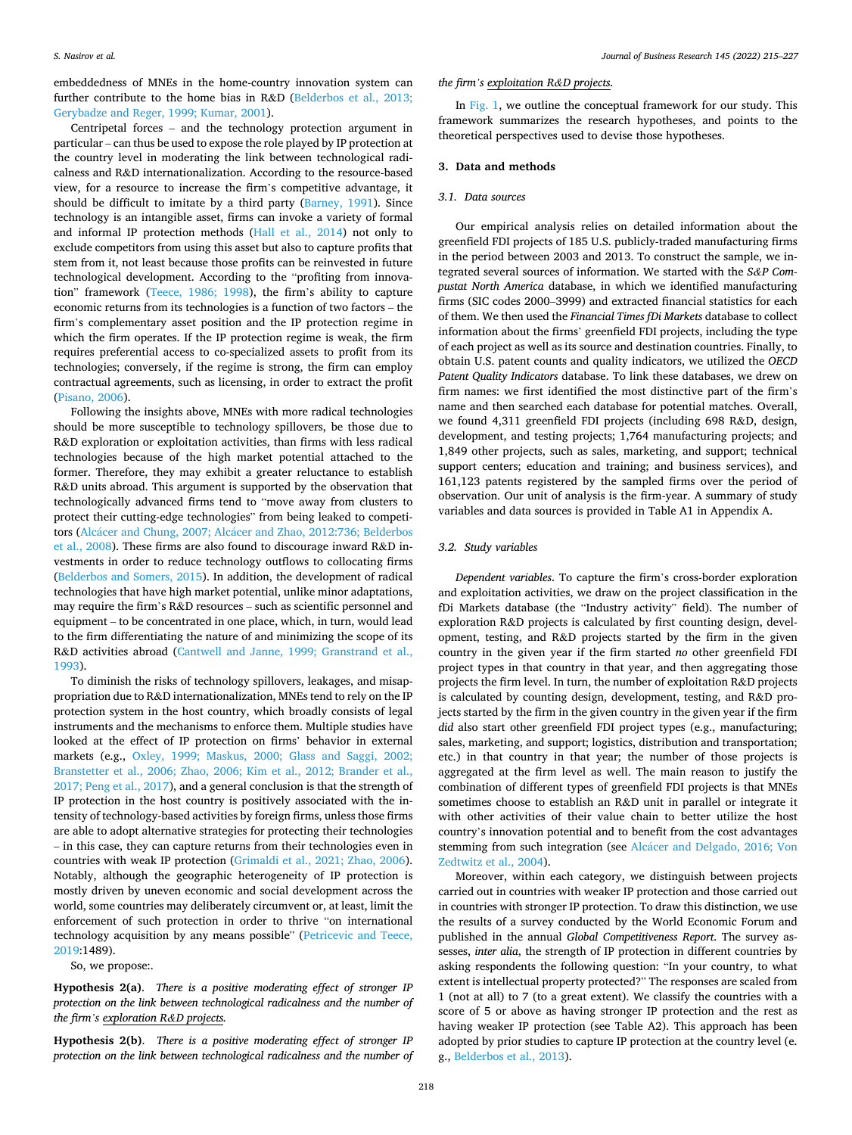embeddedness of MNEs in the home-country innovation system can further contribute to the home bias in R&D ([Belderbos et al., 2013;](#page-10-0)  [Gerybadze and Reger, 1999; Kumar, 2001](#page-10-0)).

Centripetal forces – and the technology protection argument in particular – can thus be used to expose the role played by IP protection at the country level in moderating the link between technological radicalness and R&D internationalization. According to the resource-based view, for a resource to increase the firm's competitive advantage, it should be difficult to imitate by a third party ([Barney, 1991](#page-10-0)). Since technology is an intangible asset, firms can invoke a variety of formal and informal IP protection methods [\(Hall et al., 2014\)](#page-11-0) not only to exclude competitors from using this asset but also to capture profits that stem from it, not least because those profits can be reinvested in future technological development. According to the "profiting from innovation" framework [\(Teece, 1986; 1998](#page-12-0)), the firm's ability to capture economic returns from its technologies is a function of two factors – the firm's complementary asset position and the IP protection regime in which the firm operates. If the IP protection regime is weak, the firm requires preferential access to co-specialized assets to profit from its technologies; conversely, if the regime is strong, the firm can employ contractual agreements, such as licensing, in order to extract the profit ([Pisano, 2006](#page-11-0)).

Following the insights above, MNEs with more radical technologies should be more susceptible to technology spillovers, be those due to R&D exploration or exploitation activities, than firms with less radical technologies because of the high market potential attached to the former. Therefore, they may exhibit a greater reluctance to establish R&D units abroad. This argument is supported by the observation that technologically advanced firms tend to "move away from clusters to protect their cutting-edge technologies" from being leaked to competitors (Alcácer and Chung, 2007; Alcácer and Zhao, 2012:736; Belderbos [et al., 2008](#page-10-0)). These firms are also found to discourage inward R&D investments in order to reduce technology outflows to collocating firms ([Belderbos and Somers, 2015](#page-10-0)). In addition, the development of radical technologies that have high market potential, unlike minor adaptations, may require the firm's R&D resources – such as scientific personnel and equipment – to be concentrated in one place, which, in turn, would lead to the firm differentiating the nature of and minimizing the scope of its R&D activities abroad (Cantwell and Janne, 1999; Granstrand et al., [1993\)](#page-11-0).

To diminish the risks of technology spillovers, leakages, and misappropriation due to R&D internationalization, MNEs tend to rely on the IP protection system in the host country, which broadly consists of legal instruments and the mechanisms to enforce them. Multiple studies have looked at the effect of IP protection on firms' behavior in external markets (e.g., [Oxley, 1999; Maskus, 2000; Glass and Saggi, 2002;](#page-11-0)  [Branstetter et al., 2006; Zhao, 2006; Kim et al., 2012; Brander et al.,](#page-11-0)  [2017; Peng et al., 2017](#page-11-0)), and a general conclusion is that the strength of IP protection in the host country is positively associated with the intensity of technology-based activities by foreign firms, unless those firms are able to adopt alternative strategies for protecting their technologies – in this case, they can capture returns from their technologies even in countries with weak IP protection ([Grimaldi et al., 2021; Zhao, 2006](#page-11-0)). Notably, although the geographic heterogeneity of IP protection is mostly driven by uneven economic and social development across the world, some countries may deliberately circumvent or, at least, limit the enforcement of such protection in order to thrive "on international technology acquisition by any means possible" [\(Petricevic and Teece,](#page-11-0)  [2019:](#page-11-0)1489).

So, we propose:.

**Hypothesis 2(a)**. *There is a positive moderating effect of stronger IP protection on the link between technological radicalness and the number of the firm's exploration R&D projects.* 

**Hypothesis 2(b)**. *There is a positive moderating effect of stronger IP protection on the link between technological radicalness and the number of* 

#### *the firm's exploitation R&D projects.*

In [Fig. 1,](#page-4-0) we outline the conceptual framework for our study. This framework summarizes the research hypotheses, and points to the theoretical perspectives used to devise those hypotheses.

# **3. Data and methods**

#### *3.1. Data sources*

Our empirical analysis relies on detailed information about the greenfield FDI projects of 185 U.S. publicly-traded manufacturing firms in the period between 2003 and 2013. To construct the sample, we integrated several sources of information. We started with the *S&P Compustat North America* database, in which we identified manufacturing firms (SIC codes 2000–3999) and extracted financial statistics for each of them. We then used the *Financial Times fDi Markets* database to collect information about the firms' greenfield FDI projects, including the type of each project as well as its source and destination countries. Finally, to obtain U.S. patent counts and quality indicators, we utilized the *OECD Patent Quality Indicators* database. To link these databases, we drew on firm names: we first identified the most distinctive part of the firm's name and then searched each database for potential matches. Overall, we found 4,311 greenfield FDI projects (including 698 R&D, design, development, and testing projects; 1,764 manufacturing projects; and 1,849 other projects, such as sales, marketing, and support; technical support centers; education and training; and business services), and 161,123 patents registered by the sampled firms over the period of observation. Our unit of analysis is the firm-year. A summary of study variables and data sources is provided in Table A1 in Appendix A.

## *3.2. Study variables*

*Dependent variables*. To capture the firm's cross-border exploration and exploitation activities, we draw on the project classification in the fDi Markets database (the "Industry activity" field). The number of exploration R&D projects is calculated by first counting design, development, testing, and R&D projects started by the firm in the given country in the given year if the firm started *no* other greenfield FDI project types in that country in that year, and then aggregating those projects the firm level. In turn, the number of exploitation R&D projects is calculated by counting design, development, testing, and R&D projects started by the firm in the given country in the given year if the firm *did* also start other greenfield FDI project types (e.g., manufacturing; sales, marketing, and support; logistics, distribution and transportation; etc.) in that country in that year; the number of those projects is aggregated at the firm level as well. The main reason to justify the combination of different types of greenfield FDI projects is that MNEs sometimes choose to establish an R&D unit in parallel or integrate it with other activities of their value chain to better utilize the host country's innovation potential and to benefit from the cost advantages stemming from such integration (see Alcácer and Delgado, 2016; Von [Zedtwitz et al., 2004\)](#page-10-0).

Moreover, within each category, we distinguish between projects carried out in countries with weaker IP protection and those carried out in countries with stronger IP protection. To draw this distinction, we use the results of a survey conducted by the World Economic Forum and published in the annual *Global Competitiveness Report*. The survey assesses, *inter alia*, the strength of IP protection in different countries by asking respondents the following question: "In your country, to what extent is intellectual property protected?" The responses are scaled from 1 (not at all) to 7 (to a great extent). We classify the countries with a score of 5 or above as having stronger IP protection and the rest as having weaker IP protection (see Table A2). This approach has been adopted by prior studies to capture IP protection at the country level (e. g., [Belderbos et al., 2013\)](#page-10-0).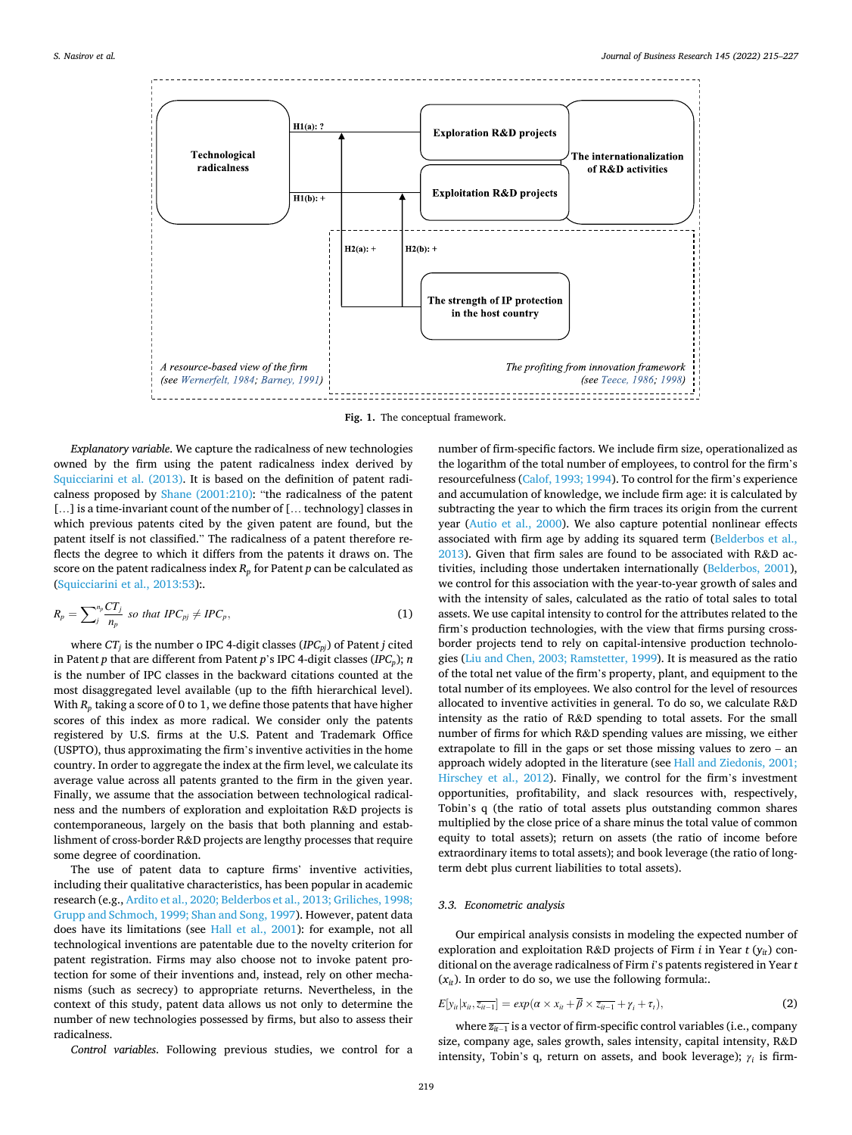<span id="page-4-0"></span>

**Fig. 1.** The conceptual framework.

*Explanatory variable*. We capture the radicalness of new technologies owned by the firm using the patent radicalness index derived by [Squicciarini et al. \(2013\).](#page-11-0) It is based on the definition of patent radicalness proposed by [Shane \(2001:210\):](#page-11-0) "the radicalness of the patent [...] is a time-invariant count of the number of [... technology] classes in which previous patents cited by the given patent are found, but the patent itself is not classified." The radicalness of a patent therefore reflects the degree to which it differs from the patents it draws on. The score on the patent radicalness index  $R_p$  for Patent  $p$  can be calculated as ([Squicciarini et al., 2013:53](#page-11-0)):.

$$
R_p = \sum_{j}^{n_p} \frac{CT_j}{n_p} \text{ so that } IPC_{pj} \neq IPC_p,\tag{1}
$$

where  $CT_j$  is the number o IPC 4-digit classes (*IPC<sub>pj</sub>*) of Patent *j* cited in Patent *p* that are different from Patent *p*'s IPC 4-digit classes (*IPCp*); *n*  is the number of IPC classes in the backward citations counted at the most disaggregated level available (up to the fifth hierarchical level). With  $R_p$  taking a score of 0 to 1, we define those patents that have higher scores of this index as more radical. We consider only the patents registered by U.S. firms at the U.S. Patent and Trademark Office (USPTO), thus approximating the firm's inventive activities in the home country. In order to aggregate the index at the firm level, we calculate its average value across all patents granted to the firm in the given year. Finally, we assume that the association between technological radicalness and the numbers of exploration and exploitation R&D projects is contemporaneous, largely on the basis that both planning and establishment of cross-border R&D projects are lengthy processes that require some degree of coordination.

The use of patent data to capture firms' inventive activities, including their qualitative characteristics, has been popular in academic research (e.g., [Ardito et al., 2020; Belderbos et al., 2013; Griliches, 1998;](#page-10-0)  [Grupp and Schmoch, 1999; Shan and Song, 1997\)](#page-10-0). However, patent data does have its limitations (see [Hall et al., 2001\)](#page-11-0): for example, not all technological inventions are patentable due to the novelty criterion for patent registration. Firms may also choose not to invoke patent protection for some of their inventions and, instead, rely on other mechanisms (such as secrecy) to appropriate returns. Nevertheless, in the context of this study, patent data allows us not only to determine the number of new technologies possessed by firms, but also to assess their radicalness.

*Control variables*. Following previous studies, we control for a

number of firm-specific factors. We include firm size, operationalized as the logarithm of the total number of employees, to control for the firm's resourcefulness [\(Calof, 1993; 1994\)](#page-10-0). To control for the firm's experience and accumulation of knowledge, we include firm age: it is calculated by subtracting the year to which the firm traces its origin from the current year [\(Autio et al., 2000\)](#page-10-0). We also capture potential nonlinear effects associated with firm age by adding its squared term ([Belderbos et al.,](#page-10-0)  [2013\)](#page-10-0). Given that firm sales are found to be associated with R&D activities, including those undertaken internationally ([Belderbos, 2001](#page-10-0)), we control for this association with the year-to-year growth of sales and with the intensity of sales, calculated as the ratio of total sales to total assets. We use capital intensity to control for the attributes related to the firm's production technologies, with the view that firms pursing crossborder projects tend to rely on capital-intensive production technologies [\(Liu and Chen, 2003; Ramstetter, 1999](#page-11-0)). It is measured as the ratio of the total net value of the firm's property, plant, and equipment to the total number of its employees. We also control for the level of resources allocated to inventive activities in general. To do so, we calculate R&D intensity as the ratio of R&D spending to total assets. For the small number of firms for which R&D spending values are missing, we either extrapolate to fill in the gaps or set those missing values to zero – an approach widely adopted in the literature (see [Hall and Ziedonis, 2001;](#page-11-0)  [Hirschey et al., 2012](#page-11-0)). Finally, we control for the firm's investment opportunities, profitability, and slack resources with, respectively, Tobin's q (the ratio of total assets plus outstanding common shares multiplied by the close price of a share minus the total value of common equity to total assets); return on assets (the ratio of income before extraordinary items to total assets); and book leverage (the ratio of longterm debt plus current liabilities to total assets).

#### *3.3. Econometric analysis*

Our empirical analysis consists in modeling the expected number of exploration and exploitation R&D projects of Firm *i* in Year *t* (*yit*) conditional on the average radicalness of Firm *i*'s patents registered in Year *t*   $(x_{it})$ . In order to do so, we use the following formula:.

$$
E[y_{it}|x_{it},\overline{z_{it-1}}] = exp(\alpha \times x_{it} + \overline{\beta} \times \overline{z_{it-1}} + \gamma_i + \tau_t),
$$
\n(2)

where  $\overline{z_{it-1}}$  is a vector of firm-specific control variables (i.e., company size, company age, sales growth, sales intensity, capital intensity, R&D intensity, Tobin's q, return on assets, and book leverage); *γi* is firm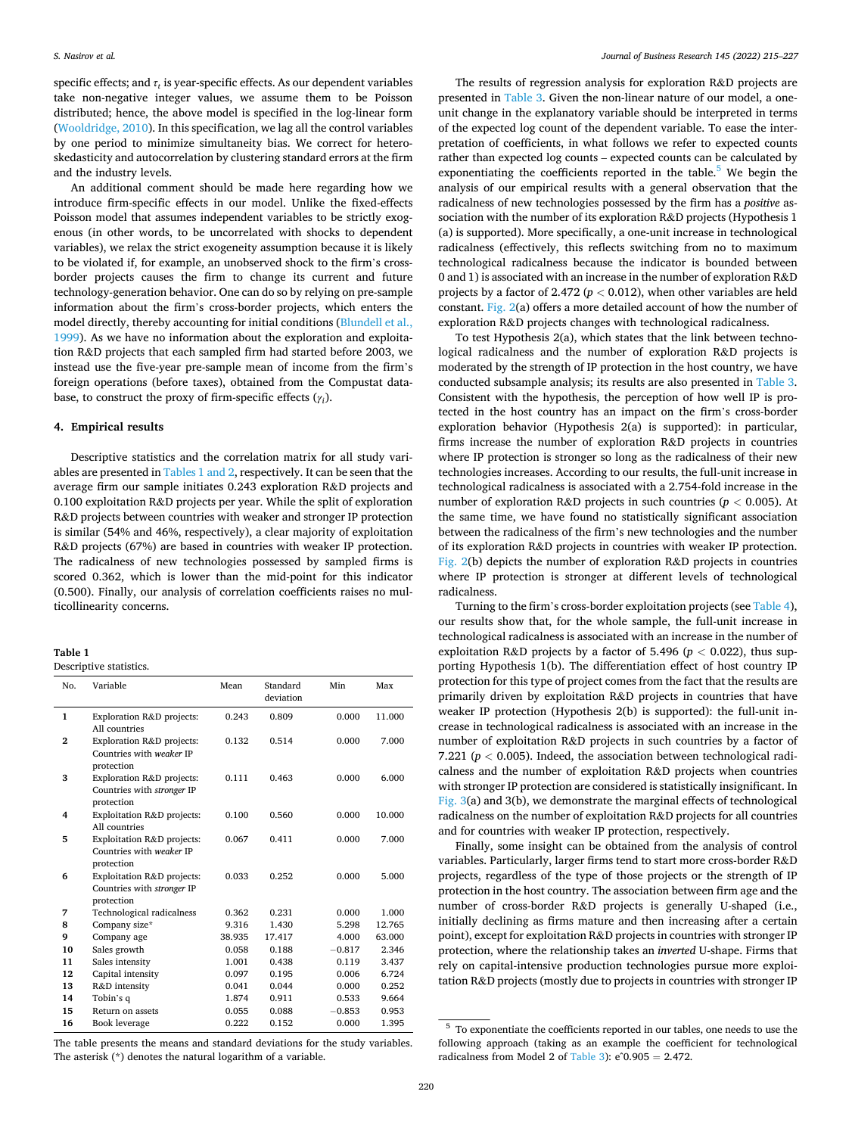specific effects; and  $\tau_t$  is year-specific effects. As our dependent variables take non-negative integer values, we assume them to be Poisson distributed; hence, the above model is specified in the log-linear form ([Wooldridge, 2010\)](#page-12-0). In this specification, we lag all the control variables by one period to minimize simultaneity bias. We correct for heteroskedasticity and autocorrelation by clustering standard errors at the firm and the industry levels.

An additional comment should be made here regarding how we introduce firm-specific effects in our model. Unlike the fixed-effects Poisson model that assumes independent variables to be strictly exogenous (in other words, to be uncorrelated with shocks to dependent variables), we relax the strict exogeneity assumption because it is likely to be violated if, for example, an unobserved shock to the firm's crossborder projects causes the firm to change its current and future technology-generation behavior. One can do so by relying on pre-sample information about the firm's cross-border projects, which enters the model directly, thereby accounting for initial conditions [\(Blundell et al.,](#page-10-0)  [1999\)](#page-10-0). As we have no information about the exploration and exploitation R&D projects that each sampled firm had started before 2003, we instead use the five-year pre-sample mean of income from the firm's foreign operations (before taxes), obtained from the Compustat database, to construct the proxy of firm-specific effects (*γi*).

# **4. Empirical results**

Descriptive statistics and the correlation matrix for all study variables are presented in Tables 1 and 2, respectively. It can be seen that the average firm our sample initiates 0.243 exploration R&D projects and 0.100 exploitation R&D projects per year. While the split of exploration R&D projects between countries with weaker and stronger IP protection is similar (54% and 46%, respectively), a clear majority of exploitation R&D projects (67%) are based in countries with weaker IP protection. The radicalness of new technologies possessed by sampled firms is scored 0.362, which is lower than the mid-point for this indicator (0.500). Finally, our analysis of correlation coefficients raises no multicollinearity concerns.

#### **Table 1**

Descriptive statistics.

| No.            | Variable                                                               | Mean   | Standard<br>deviation | Min      | Max    |
|----------------|------------------------------------------------------------------------|--------|-----------------------|----------|--------|
| 1              | Exploration R&D projects:<br>All countries                             | 0.243  | 0.809                 | 0.000    | 11.000 |
| $\overline{2}$ | Exploration R&D projects:<br>Countries with weaker IP<br>protection    | 0.132  | 0.514                 | 0.000    | 7.000  |
| 3              | Exploration R&D projects:<br>Countries with stronger IP<br>protection  | 0.111  | 0.463                 | 0.000    | 6.000  |
| 4              | Exploitation R&D projects:<br>All countries                            | 0.100  | 0.560                 | 0.000    | 10.000 |
| 5              | Exploitation R&D projects:<br>Countries with weaker IP<br>protection   | 0.067  | 0.411                 | 0.000    | 7.000  |
| 6              | Exploitation R&D projects:<br>Countries with stronger IP<br>protection | 0.033  | 0.252                 | 0.000    | 5.000  |
| 7              | Technological radicalness                                              | 0.362  | 0.231                 | 0.000    | 1.000  |
| 8              | Company size*                                                          | 9.316  | 1.430                 | 5.298    | 12.765 |
| 9              | Company age                                                            | 38.935 | 17.417                | 4.000    | 63.000 |
| 10             | Sales growth                                                           | 0.058  | 0.188                 | $-0.817$ | 2.346  |
| 11             | Sales intensity                                                        | 1.001  | 0.438                 | 0.119    | 3.437  |
| 12             | Capital intensity                                                      | 0.097  | 0.195                 | 0.006    | 6.724  |
| 13             | R&D intensity                                                          | 0.041  | 0.044                 | 0.000    | 0.252  |
| 14             | Tobin's q                                                              | 1.874  | 0.911                 | 0.533    | 9.664  |
| 15             | Return on assets                                                       | 0.055  | 0.088                 | $-0.853$ | 0.953  |
| 16             | <b>Book leverage</b>                                                   | 0.222  | 0.152                 | 0.000    | 1.395  |

The results of regression analysis for exploration R&D projects are presented in [Table 3](#page-6-0). Given the non-linear nature of our model, a oneunit change in the explanatory variable should be interpreted in terms of the expected log count of the dependent variable. To ease the interpretation of coefficients, in what follows we refer to expected counts rather than expected log counts – expected counts can be calculated by exponentiating the coefficients reported in the table. $5$  We begin the analysis of our empirical results with a general observation that the radicalness of new technologies possessed by the firm has a *positive* association with the number of its exploration R&D projects (Hypothesis 1 (a) is supported). More specifically, a one-unit increase in technological radicalness (effectively, this reflects switching from no to maximum technological radicalness because the indicator is bounded between 0 and 1) is associated with an increase in the number of exploration R&D projects by a factor of 2.472 (*p <* 0.012), when other variables are held constant. [Fig. 2\(](#page-7-0)a) offers a more detailed account of how the number of exploration R&D projects changes with technological radicalness.

To test Hypothesis 2(a), which states that the link between technological radicalness and the number of exploration R&D projects is moderated by the strength of IP protection in the host country, we have conducted subsample analysis; its results are also presented in [Table 3](#page-6-0). Consistent with the hypothesis, the perception of how well IP is protected in the host country has an impact on the firm's cross-border exploration behavior (Hypothesis 2(a) is supported): in particular, firms increase the number of exploration R&D projects in countries where IP protection is stronger so long as the radicalness of their new technologies increases. According to our results, the full-unit increase in technological radicalness is associated with a 2.754-fold increase in the number of exploration R&D projects in such countries ( $p < 0.005$ ). At the same time, we have found no statistically significant association between the radicalness of the firm's new technologies and the number of its exploration R&D projects in countries with weaker IP protection. [Fig. 2](#page-7-0)(b) depicts the number of exploration R&D projects in countries where IP protection is stronger at different levels of technological radicalness.

Turning to the firm's cross-border exploitation projects (see [Table 4](#page-8-0)), our results show that, for the whole sample, the full-unit increase in technological radicalness is associated with an increase in the number of exploitation R&D projects by a factor of 5.496 (*p <* 0.022), thus supporting Hypothesis 1(b). The differentiation effect of host country IP protection for this type of project comes from the fact that the results are primarily driven by exploitation R&D projects in countries that have weaker IP protection (Hypothesis 2(b) is supported): the full-unit increase in technological radicalness is associated with an increase in the number of exploitation R&D projects in such countries by a factor of 7.221 ( $p < 0.005$ ). Indeed, the association between technological radicalness and the number of exploitation R&D projects when countries with stronger IP protection are considered is statistically insignificant. In [Fig. 3](#page-9-0)(a) and 3(b), we demonstrate the marginal effects of technological radicalness on the number of exploitation R&D projects for all countries and for countries with weaker IP protection, respectively.

Finally, some insight can be obtained from the analysis of control variables. Particularly, larger firms tend to start more cross-border R&D projects, regardless of the type of those projects or the strength of IP protection in the host country. The association between firm age and the number of cross-border R&D projects is generally U-shaped (i.e., initially declining as firms mature and then increasing after a certain point), except for exploitation R&D projects in countries with stronger IP protection, where the relationship takes an *inverted* U-shape. Firms that rely on capital-intensive production technologies pursue more exploitation R&D projects (mostly due to projects in countries with stronger IP

 $5$  To exponentiate the coefficients reported in our tables, one needs to use the following approach (taking as an example the coefficient for technological radicalness from Model 2 of [Table 3\)](#page-6-0):  $e^0.905 = 2.472$ .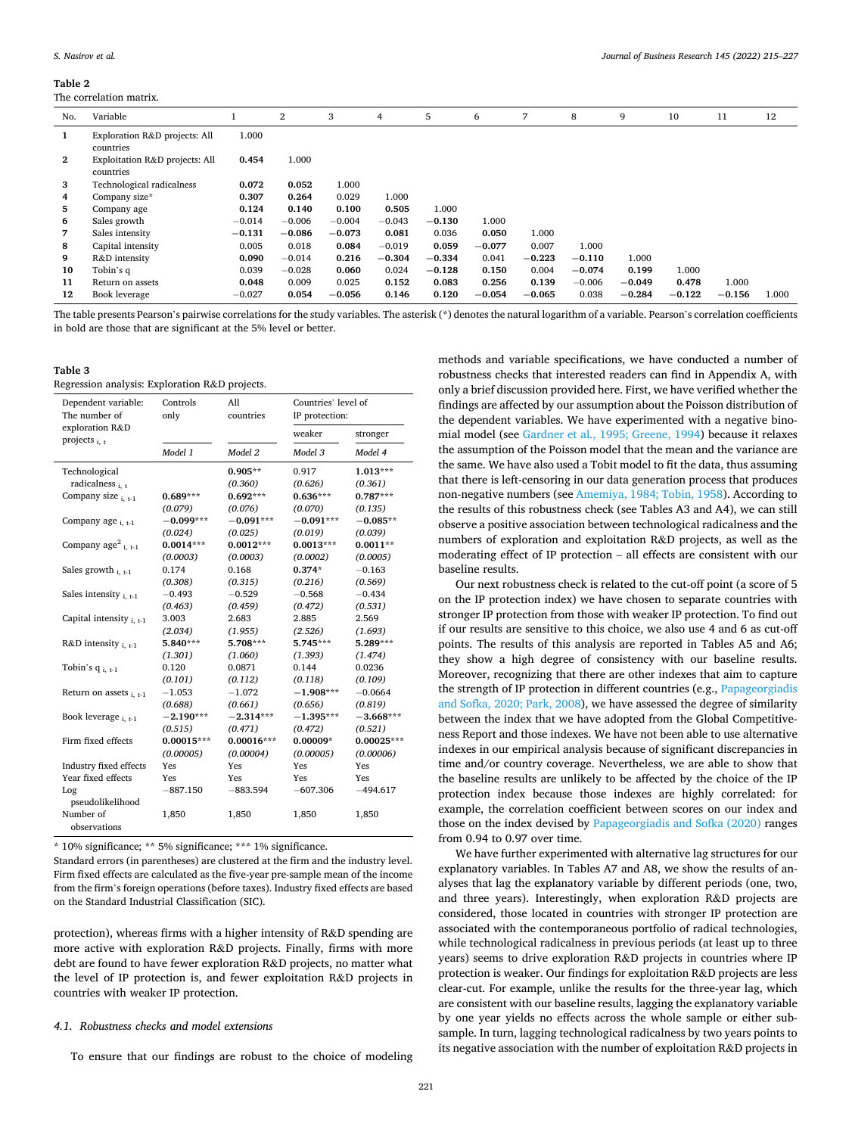#### <span id="page-6-0"></span>**Table 2**

#### The correlation matrix.

| No.            | Variable                                    |          | $\overline{2}$ | 3        | 4        | 5        | 6        | 7        | 8        | 9        | 10       | 11       | 12    |
|----------------|---------------------------------------------|----------|----------------|----------|----------|----------|----------|----------|----------|----------|----------|----------|-------|
| 1              | Exploration R&D projects: All               | 1.000    |                |          |          |          |          |          |          |          |          |          |       |
|                | countries                                   |          |                |          |          |          |          |          |          |          |          |          |       |
| $\mathbf{2}$   | Exploitation R&D projects: All<br>countries | 0.454    | 1.000          |          |          |          |          |          |          |          |          |          |       |
| 3              | Technological radicalness                   | 0.072    | 0.052          | 1.000    |          |          |          |          |          |          |          |          |       |
| $\overline{4}$ | Company size*                               | 0.307    | 0.264          | 0.029    | 1.000    |          |          |          |          |          |          |          |       |
| 5              | Company age                                 | 0.124    | 0.140          | 0.100    | 0.505    | 1.000    |          |          |          |          |          |          |       |
| 6              | Sales growth                                | $-0.014$ | $-0.006$       | $-0.004$ | $-0.043$ | $-0.130$ | 1.000    |          |          |          |          |          |       |
| 7              | Sales intensity                             | $-0.131$ | $-0.086$       | $-0.073$ | 0.081    | 0.036    | 0.050    | 1.000    |          |          |          |          |       |
| 8              | Capital intensity                           | 0.005    | 0.018          | 0.084    | $-0.019$ | 0.059    | $-0.077$ | 0.007    | 1.000    |          |          |          |       |
| 9              | R&D intensity                               | 0.090    | $-0.014$       | 0.216    | $-0.304$ | $-0.334$ | 0.041    | $-0.223$ | $-0.110$ | 1.000    |          |          |       |
| 10             | Tobin's q                                   | 0.039    | $-0.028$       | 0.060    | 0.024    | $-0.128$ | 0.150    | 0.004    | $-0.074$ | 0.199    | 1.000    |          |       |
| 11             | Return on assets                            | 0.048    | 0.009          | 0.025    | 0.152    | 0.083    | 0.256    | 0.139    | $-0.006$ | $-0.049$ | 0.478    | 1.000    |       |
| 12             | Book leverage                               | $-0.027$ | 0.054          | $-0.056$ | 0.146    | 0.120    | $-0.054$ | $-0.065$ | 0.038    | $-0.284$ | $-0.122$ | $-0.156$ | 1.000 |
|                |                                             |          |                |          |          |          |          |          |          |          |          |          |       |

The table presents Pearson's pairwise correlations for the study variables. The asterisk (\*) denotes the natural logarithm of a variable. Pearson's correlation coefficients in bold are those that are significant at the 5% level or better.

#### **Table 3**  Regression analysis: Exploration R&D projects.

| Dependent variable:<br>The number of  | Controls<br>only | All<br>countries | Countries' level of<br>IP protection: |              |  |
|---------------------------------------|------------------|------------------|---------------------------------------|--------------|--|
| exploration R&D<br>projects $_{i. t}$ |                  |                  | weaker                                | stronger     |  |
|                                       | Model 1          | Model 2          | Model 3                               | Model 4      |  |
| Technological                         |                  | $0.905**$        | 0.917                                 | $1.013***$   |  |
| radicalness $_{i. t}$                 |                  | (0.360)          | (0.626)                               | (0.361)      |  |
| Company size $_{i,t-1}$               | $0.689***$       | $0.692***$       | $0.636***$                            | $0.787***$   |  |
|                                       | (0.079)          | (0.076)          | (0.070)                               | (0.135)      |  |
| Company age $_{i, t-1}$               | $-0.099***$      | $-0.091***$      | $-0.091***$                           | $-0.085**$   |  |
|                                       | (0.024)          | (0.025)          | (0.019)                               | (0.039)      |  |
| Company $age^2_{i,t-1}$               | $0.0014***$      | $0.0012***$      | $0.0013***$                           | $0.0011**$   |  |
|                                       | (0.0003)         | (0.0003)         | (0.0002)                              | (0.0005)     |  |
| Sales growth $_{i. t-1}$              | 0.174            | 0.168            | $0.374*$                              | $-0.163$     |  |
|                                       | (0.308)          | (0.315)          | (0.216)                               | (0.569)      |  |
| Sales intensity $_{i,t-1}$            | $-0.493$         | $-0.529$         | $-0.568$                              | $-0.434$     |  |
|                                       | (0.463)          | (0.459)          | (0.472)                               | (0.531)      |  |
| Capital intensity $_{i,t-1}$          | 3.003            | 2.683            | 2.885                                 | 2.569        |  |
|                                       | (2.034)          | (1.955)          | (2.526)                               | (1.693)      |  |
| R&D intensity $_{i. t-1}$             | 5.840***         | 5.708***         | 5.745***                              | 5.289***     |  |
|                                       | (1.301)          | (1.060)          | (1.393)                               | (1.474)      |  |
| Tobin's $q_{i, t-1}$                  | 0.120            | 0.0871           | 0.144                                 | 0.0236       |  |
|                                       | (0.101)          | (0.112)          | (0.118)                               | (0.109)      |  |
| Return on assets $_{i. t-1}$          | $-1.053$         | $-1.072$         | $-1.908***$                           | $-0.0664$    |  |
|                                       | (0.688)          | (0.661)          | (0.656)                               | (0.819)      |  |
| Book leverage $_{i-t-1}$              | $-2.190***$      | $-2.314***$      | $-1.395***$                           | $-3.668***$  |  |
|                                       | (0.515)          | (0.471)          | (0.472)                               | (0.521)      |  |
| Firm fixed effects                    | $0.00015***$     | $0.00016***$     | $0.00009*$                            | $0.00025***$ |  |
|                                       | (0.00005)        | (0.00004)        | (0.00005)                             | (0.00006)    |  |
| Industry fixed effects                | Yes              | Yes              | Yes                                   | Yes          |  |
| Year fixed effects                    | Yes              | Yes              | Yes                                   | Yes          |  |
| Log                                   | $-887.150$       | $-883.594$       | $-607.306$                            | $-494.617$   |  |
| pseudolikelihood                      |                  |                  |                                       |              |  |
| Number of<br>observations             | 1,850            | 1,850            | 1,850                                 | 1,850        |  |

\* 10% significance; \*\* 5% significance; \*\*\* 1% significance.

Standard errors (in parentheses) are clustered at the firm and the industry level. Firm fixed effects are calculated as the five-year pre-sample mean of the income from the firm's foreign operations (before taxes). Industry fixed effects are based on the Standard Industrial Classification (SIC).

protection), whereas firms with a higher intensity of R&D spending are more active with exploration R&D projects. Finally, firms with more debt are found to have fewer exploration R&D projects, no matter what the level of IP protection is, and fewer exploitation R&D projects in countries with weaker IP protection.

## *4.1. Robustness checks and model extensions*

To ensure that our findings are robust to the choice of modeling

methods and variable specifications, we have conducted a number of robustness checks that interested readers can find in Appendix A, with only a brief discussion provided here. First, we have verified whether the findings are affected by our assumption about the Poisson distribution of the dependent variables. We have experimented with a negative binomial model (see [Gardner et al., 1995; Greene, 1994\)](#page-11-0) because it relaxes the assumption of the Poisson model that the mean and the variance are the same. We have also used a Tobit model to fit the data, thus assuming that there is left-censoring in our data generation process that produces non-negative numbers (see [Amemiya, 1984; Tobin, 1958\)](#page-10-0). According to the results of this robustness check (see Tables A3 and A4), we can still observe a positive association between technological radicalness and the numbers of exploration and exploitation R&D projects, as well as the moderating effect of IP protection – all effects are consistent with our baseline results.

Our next robustness check is related to the cut-off point (a score of 5 on the IP protection index) we have chosen to separate countries with stronger IP protection from those with weaker IP protection. To find out if our results are sensitive to this choice, we also use 4 and 6 as cut-off points. The results of this analysis are reported in Tables A5 and A6; they show a high degree of consistency with our baseline results. Moreover, recognizing that there are other indexes that aim to capture the strength of IP protection in different countries (e.g., [Papageorgiadis](#page-11-0)  [and Sofka, 2020; Park, 2008](#page-11-0)), we have assessed the degree of similarity between the index that we have adopted from the Global Competitiveness Report and those indexes. We have not been able to use alternative indexes in our empirical analysis because of significant discrepancies in time and/or country coverage. Nevertheless, we are able to show that the baseline results are unlikely to be affected by the choice of the IP protection index because those indexes are highly correlated: for example, the correlation coefficient between scores on our index and those on the index devised by [Papageorgiadis and Sofka \(2020\)](#page-11-0) ranges from 0.94 to 0.97 over time.

We have further experimented with alternative lag structures for our explanatory variables. In Tables A7 and A8, we show the results of analyses that lag the explanatory variable by different periods (one, two, and three years). Interestingly, when exploration R&D projects are considered, those located in countries with stronger IP protection are associated with the contemporaneous portfolio of radical technologies, while technological radicalness in previous periods (at least up to three years) seems to drive exploration R&D projects in countries where IP protection is weaker. Our findings for exploitation R&D projects are less clear-cut. For example, unlike the results for the three-year lag, which are consistent with our baseline results, lagging the explanatory variable by one year yields no effects across the whole sample or either subsample. In turn, lagging technological radicalness by two years points to its negative association with the number of exploitation R&D projects in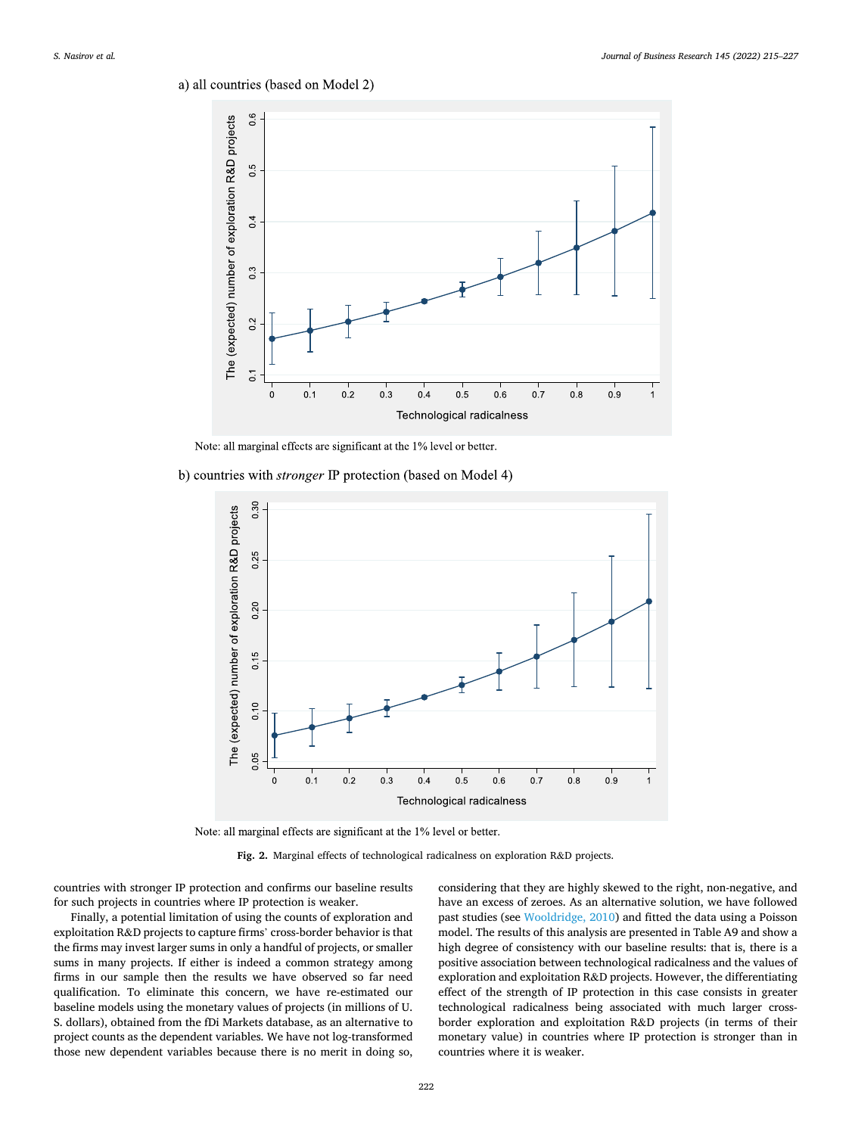# <span id="page-7-0"></span>a) all countries (based on Model 2)



Note: all marginal effects are significant at the 1% level or better.

b) countries with *stronger* IP protection (based on Model 4)



Note: all marginal effects are significant at the 1% level or better.

**Fig. 2.** Marginal effects of technological radicalness on exploration R&D projects.

countries with stronger IP protection and confirms our baseline results for such projects in countries where IP protection is weaker.

Finally, a potential limitation of using the counts of exploration and exploitation R&D projects to capture firms' cross-border behavior is that the firms may invest larger sums in only a handful of projects, or smaller sums in many projects. If either is indeed a common strategy among firms in our sample then the results we have observed so far need qualification. To eliminate this concern, we have re-estimated our baseline models using the monetary values of projects (in millions of U. S. dollars), obtained from the fDi Markets database, as an alternative to project counts as the dependent variables. We have not log-transformed those new dependent variables because there is no merit in doing so,

considering that they are highly skewed to the right, non-negative, and have an excess of zeroes. As an alternative solution, we have followed past studies (see [Wooldridge, 2010](#page-12-0)) and fitted the data using a Poisson model. The results of this analysis are presented in Table A9 and show a high degree of consistency with our baseline results: that is, there is a positive association between technological radicalness and the values of exploration and exploitation R&D projects. However, the differentiating effect of the strength of IP protection in this case consists in greater technological radicalness being associated with much larger crossborder exploration and exploitation R&D projects (in terms of their monetary value) in countries where IP protection is stronger than in countries where it is weaker.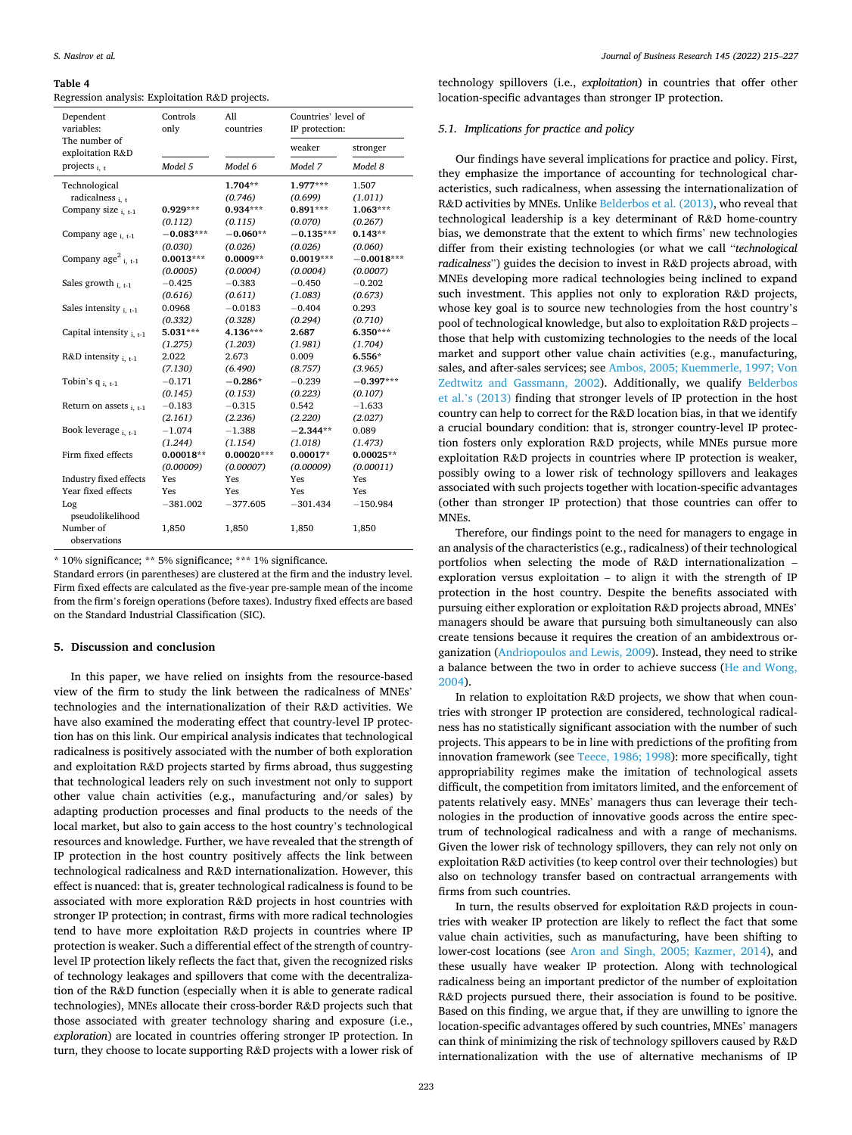#### <span id="page-8-0"></span>**Table 4**

Regression analysis: Exploitation R&D projects.

| Dependent<br>variables:           | Controls<br>only | A11<br>countries | Countries' level of<br>IP protection: |              |  |
|-----------------------------------|------------------|------------------|---------------------------------------|--------------|--|
| The number of<br>exploitation R&D |                  |                  | weaker                                | stronger     |  |
| projects $_{i.f}$                 | Model 5          | Model 6          | Model 7                               | Model 8      |  |
| Technological                     |                  | $1.704**$        | 1.977***                              | 1.507        |  |
| radicalness $_{i.f.}$             |                  | (0.746)          | (0.699)                               | (1.011)      |  |
| Company size $_{i,t-1}$           | $0.929***$       | $0.934***$       | $0.891***$                            | $1.063***$   |  |
|                                   | (0.112)          | (0.115)          | (0.070)                               | (0.267)      |  |
| Company age $_{i. t-1}$           | $-0.083***$      | $-0.060**$       | $-0.135***$                           | $0.143**$    |  |
|                                   | (0.030)          | (0.026)          | (0.026)                               | (0.060)      |  |
| Company $age^2_{i,t-1}$           | $0.0013***$      | $0.0009**$       | $0.0019***$                           | $-0.0018***$ |  |
|                                   | (0.0005)         | (0.0004)         | (0.0004)                              | (0.0007)     |  |
| Sales growth $_{i,t-1}$           | $-0.425$         | $-0.383$         | $-0.450$                              | $-0.202$     |  |
|                                   | (0.616)          | (0.611)          | (1.083)                               | (0.673)      |  |
| Sales intensity $_{i,t-1}$        | 0.0968           | $-0.0183$        | $-0.404$                              | 0.293        |  |
|                                   | (0.332)          | (0.328)          | (0.294)                               | (0.710)      |  |
| Capital intensity $_{i. t-1}$     | 5.031***         | 4.136***         | 2.687                                 | 6.350***     |  |
|                                   | (1.275)          | (1.203)          | (1.981)                               | (1.704)      |  |
| R&D intensity $_{i. t-1}$         | 2.022            | 2.673            | 0.009                                 | $6.556*$     |  |
|                                   | (7.130)          | (6.490)          | (8.757)                               | (3.965)      |  |
| Tobin's $q_{i, t-1}$              | $-0.171$         | $-0.286*$        | $-0.239$                              | $-0.397***$  |  |
|                                   | (0.145)          | (0.153)          | (0.223)                               | (0.107)      |  |
| Return on assets $_{i. t-1}$      | $-0.183$         | $-0.315$         | 0.542                                 | $-1.633$     |  |
|                                   | (2.161)          | (2.236)          | (2.220)                               | (2.027)      |  |
| Book leverage i. t-1              | $-1.074$         | $-1.388$         | $-2.344**$                            | 0.089        |  |
|                                   | (1.244)          | (1.154)          | (1.018)                               | (1.473)      |  |
| Firm fixed effects                | $0.00018**$      | $0.00020***$     | $0.00017*$                            | $0.00025**$  |  |
|                                   | (0.00009)        | (0.00007)        | (0.00009)                             | (0.00011)    |  |
| <b>Industry fixed effects</b>     | Yes              | Yes              | Yes                                   | Yes          |  |
| Year fixed effects                | Yes              | Yes              | Yes                                   | Yes          |  |
| Log                               | $-381.002$       | $-377.605$       | $-301.434$                            | $-150.984$   |  |
| pseudolikelihood                  |                  |                  |                                       |              |  |
| Number of<br>observations         | 1,850            | 1,850            | 1,850                                 | 1,850        |  |

\* 10% significance; \*\* 5% significance; \*\*\* 1% significance.

Standard errors (in parentheses) are clustered at the firm and the industry level. Firm fixed effects are calculated as the five-year pre-sample mean of the income from the firm's foreign operations (before taxes). Industry fixed effects are based on the Standard Industrial Classification (SIC).

## **5. Discussion and conclusion**

In this paper, we have relied on insights from the resource-based view of the firm to study the link between the radicalness of MNEs' technologies and the internationalization of their R&D activities. We have also examined the moderating effect that country-level IP protection has on this link. Our empirical analysis indicates that technological radicalness is positively associated with the number of both exploration and exploitation R&D projects started by firms abroad, thus suggesting that technological leaders rely on such investment not only to support other value chain activities (e.g., manufacturing and/or sales) by adapting production processes and final products to the needs of the local market, but also to gain access to the host country's technological resources and knowledge. Further, we have revealed that the strength of IP protection in the host country positively affects the link between technological radicalness and R&D internationalization. However, this effect is nuanced: that is, greater technological radicalness is found to be associated with more exploration R&D projects in host countries with stronger IP protection; in contrast, firms with more radical technologies tend to have more exploitation R&D projects in countries where IP protection is weaker. Such a differential effect of the strength of countrylevel IP protection likely reflects the fact that, given the recognized risks of technology leakages and spillovers that come with the decentralization of the R&D function (especially when it is able to generate radical technologies), MNEs allocate their cross-border R&D projects such that those associated with greater technology sharing and exposure (i.e., *exploration*) are located in countries offering stronger IP protection. In turn, they choose to locate supporting R&D projects with a lower risk of

technology spillovers (i.e., *exploitation*) in countries that offer other location-specific advantages than stronger IP protection.

# *5.1. Implications for practice and policy*

Our findings have several implications for practice and policy. First, they emphasize the importance of accounting for technological characteristics, such radicalness, when assessing the internationalization of R&D activities by MNEs. Unlike [Belderbos et al. \(2013\),](#page-10-0) who reveal that technological leadership is a key determinant of R&D home-country bias, we demonstrate that the extent to which firms' new technologies differ from their existing technologies (or what we call "*technological radicalness*") guides the decision to invest in R&D projects abroad, with MNEs developing more radical technologies being inclined to expand such investment. This applies not only to exploration R&D projects, whose key goal is to source new technologies from the host country's pool of technological knowledge, but also to exploitation R&D projects – those that help with customizing technologies to the needs of the local market and support other value chain activities (e.g., manufacturing, sales, and after-sales services; see [Ambos, 2005; Kuemmerle, 1997; Von](#page-10-0)  [Zedtwitz and Gassmann, 2002\)](#page-10-0). Additionally, we qualify [Belderbos](#page-10-0)  et al.'[s \(2013\)](#page-10-0) finding that stronger levels of IP protection in the host country can help to correct for the R&D location bias, in that we identify a crucial boundary condition: that is, stronger country-level IP protection fosters only exploration R&D projects, while MNEs pursue more exploitation R&D projects in countries where IP protection is weaker, possibly owing to a lower risk of technology spillovers and leakages associated with such projects together with location-specific advantages (other than stronger IP protection) that those countries can offer to MNEs.

Therefore, our findings point to the need for managers to engage in an analysis of the characteristics (e.g., radicalness) of their technological portfolios when selecting the mode of R&D internationalization – exploration versus exploitation – to align it with the strength of IP protection in the host country. Despite the benefits associated with pursuing either exploration or exploitation R&D projects abroad, MNEs' managers should be aware that pursuing both simultaneously can also create tensions because it requires the creation of an ambidextrous organization ([Andriopoulos and Lewis, 2009](#page-10-0)). Instead, they need to strike a balance between the two in order to achieve success ([He and Wong,](#page-11-0)  [2004\)](#page-11-0).

In relation to exploitation R&D projects, we show that when countries with stronger IP protection are considered, technological radicalness has no statistically significant association with the number of such projects. This appears to be in line with predictions of the profiting from innovation framework (see [Teece, 1986; 1998](#page-12-0)): more specifically, tight appropriability regimes make the imitation of technological assets difficult, the competition from imitators limited, and the enforcement of patents relatively easy. MNEs' managers thus can leverage their technologies in the production of innovative goods across the entire spectrum of technological radicalness and with a range of mechanisms. Given the lower risk of technology spillovers, they can rely not only on exploitation R&D activities (to keep control over their technologies) but also on technology transfer based on contractual arrangements with firms from such countries.

In turn, the results observed for exploitation R&D projects in countries with weaker IP protection are likely to reflect the fact that some value chain activities, such as manufacturing, have been shifting to lower-cost locations (see [Aron and Singh, 2005; Kazmer, 2014\)](#page-10-0), and these usually have weaker IP protection. Along with technological radicalness being an important predictor of the number of exploitation R&D projects pursued there, their association is found to be positive. Based on this finding, we argue that, if they are unwilling to ignore the location-specific advantages offered by such countries, MNEs' managers can think of minimizing the risk of technology spillovers caused by R&D internationalization with the use of alternative mechanisms of IP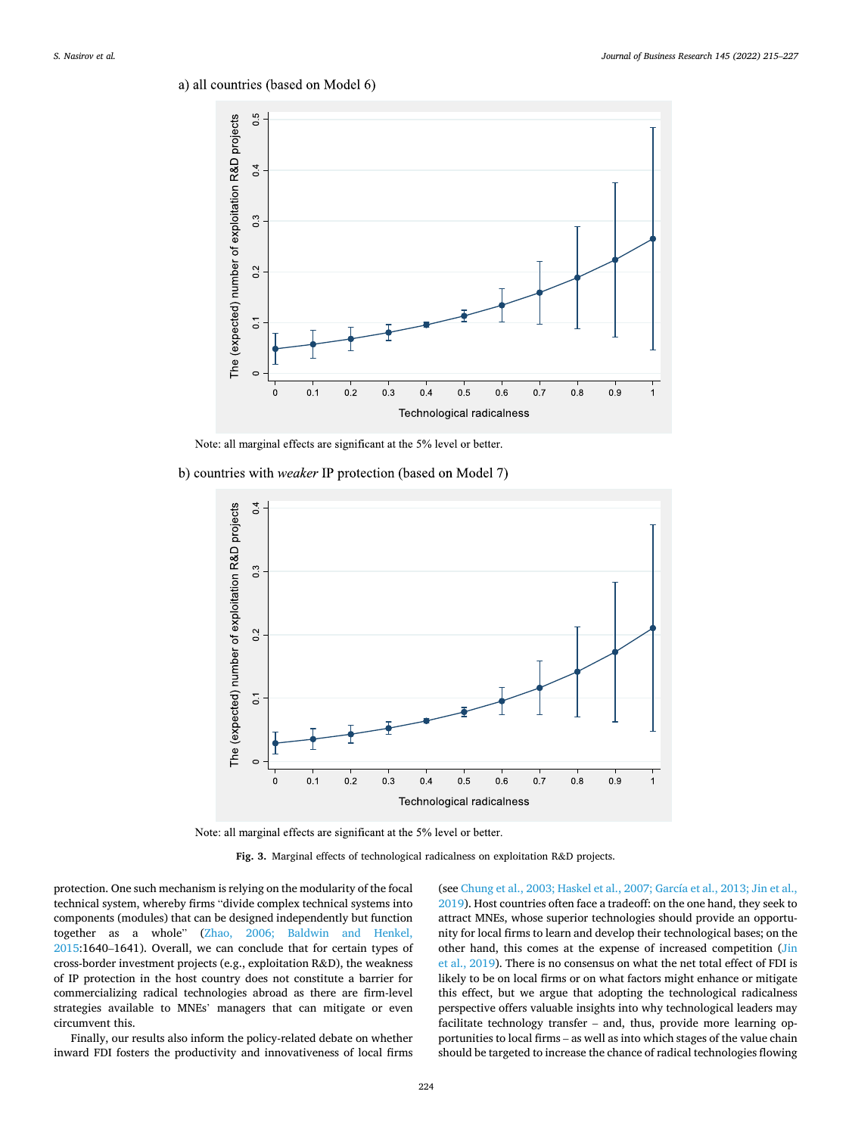<span id="page-9-0"></span>a) all countries (based on Model 6)



Note: all marginal effects are significant at the 5% level or better.

b) countries with *weaker* IP protection (based on Model 7)



Note: all marginal effects are significant at the 5% level or better.

**Fig. 3.** Marginal effects of technological radicalness on exploitation R&D projects.

protection. One such mechanism is relying on the modularity of the focal technical system, whereby firms "divide complex technical systems into components (modules) that can be designed independently but function together as a whole" ([Zhao, 2006; Baldwin and Henkel,](#page-12-0)  [2015:](#page-12-0)1640–1641). Overall, we can conclude that for certain types of cross-border investment projects (e.g., exploitation R&D), the weakness of IP protection in the host country does not constitute a barrier for commercializing radical technologies abroad as there are firm-level strategies available to MNEs' managers that can mitigate or even circumvent this.

Finally, our results also inform the policy-related debate on whether inward FDI fosters the productivity and innovativeness of local firms (see [Chung et al., 2003; Haskel et al., 2007; García et al., 2013; Jin et al.,](#page-11-0)  [2019\)](#page-11-0). Host countries often face a tradeoff: on the one hand, they seek to attract MNEs, whose superior technologies should provide an opportunity for local firms to learn and develop their technological bases; on the other hand, this comes at the expense of increased competition (Jin [et al., 2019](#page-11-0)). There is no consensus on what the net total effect of FDI is likely to be on local firms or on what factors might enhance or mitigate this effect, but we argue that adopting the technological radicalness perspective offers valuable insights into why technological leaders may facilitate technology transfer – and, thus, provide more learning opportunities to local firms – as well as into which stages of the value chain should be targeted to increase the chance of radical technologies flowing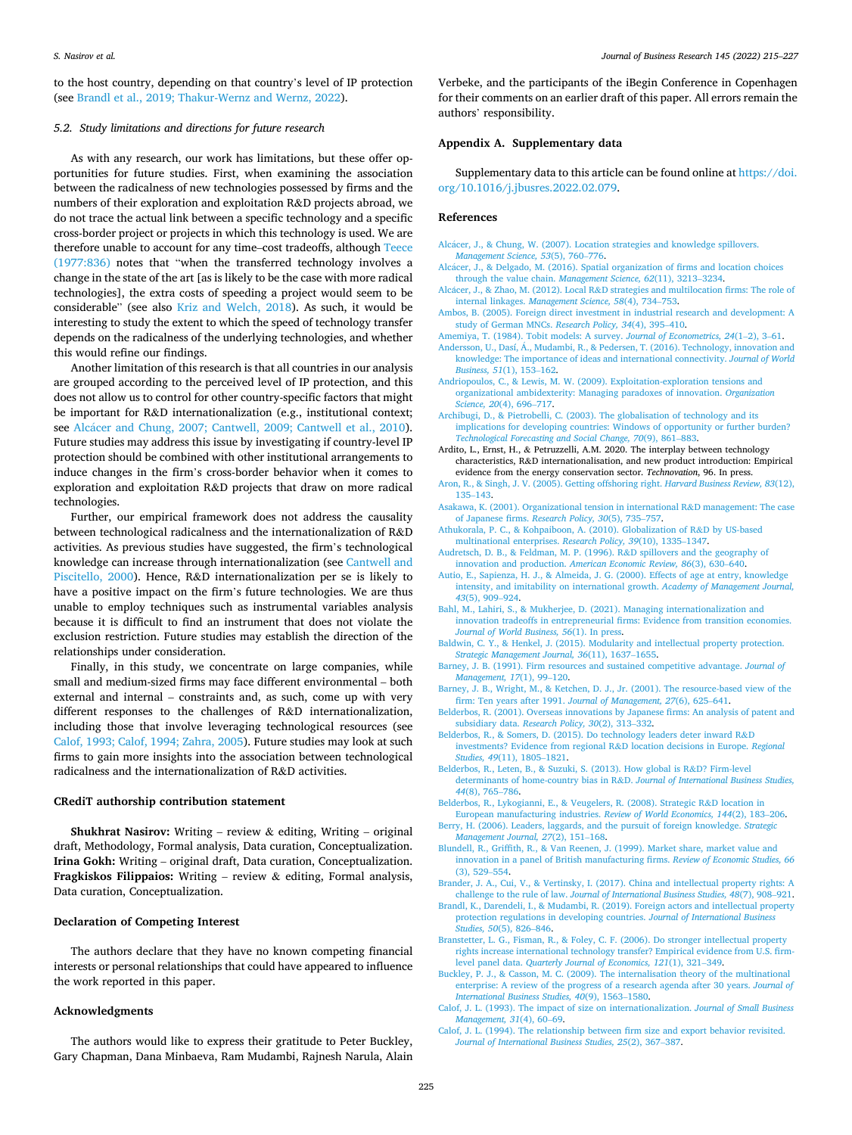<span id="page-10-0"></span>to the host country, depending on that country's level of IP protection (see Brandl et al., 2019; Thakur-Wernz and Wernz, 2022).

# *5.2. Study limitations and directions for future research*

As with any research, our work has limitations, but these offer opportunities for future studies. First, when examining the association between the radicalness of new technologies possessed by firms and the numbers of their exploration and exploitation R&D projects abroad, we do not trace the actual link between a specific technology and a specific cross-border project or projects in which this technology is used. We are therefore unable to account for any time–cost tradeoffs, although [Teece](#page-11-0)  [\(1977:836\)](#page-11-0) notes that "when the transferred technology involves a change in the state of the art [as is likely to be the case with more radical technologies], the extra costs of speeding a project would seem to be considerable" (see also [Kriz and Welch, 2018\)](#page-11-0). As such, it would be interesting to study the extent to which the speed of technology transfer depends on the radicalness of the underlying technologies, and whether this would refine our findings.

Another limitation of this research is that all countries in our analysis are grouped according to the perceived level of IP protection, and this does not allow us to control for other country-specific factors that might be important for R&D internationalization (e.g., institutional context; see Alcácer and Chung, 2007; Cantwell, 2009; Cantwell et al., 2010). Future studies may address this issue by investigating if country-level IP protection should be combined with other institutional arrangements to induce changes in the firm's cross-border behavior when it comes to exploration and exploitation R&D projects that draw on more radical technologies.

Further, our empirical framework does not address the causality between technological radicalness and the internationalization of R&D activities. As previous studies have suggested, the firm's technological knowledge can increase through internationalization (see [Cantwell and](#page-11-0)  [Piscitello, 2000](#page-11-0)). Hence, R&D internationalization per se is likely to have a positive impact on the firm's future technologies. We are thus unable to employ techniques such as instrumental variables analysis because it is difficult to find an instrument that does not violate the exclusion restriction. Future studies may establish the direction of the relationships under consideration.

Finally, in this study, we concentrate on large companies, while small and medium-sized firms may face different environmental – both external and internal – constraints and, as such, come up with very different responses to the challenges of R&D internationalization, including those that involve leveraging technological resources (see Calof, 1993; Calof, 1994; Zahra, 2005). Future studies may look at such firms to gain more insights into the association between technological radicalness and the internationalization of R&D activities.

# **CRediT authorship contribution statement**

**Shukhrat Nasirov:** Writing – review & editing, Writing – original draft, Methodology, Formal analysis, Data curation, Conceptualization. **Irina Gokh:** Writing – original draft, Data curation, Conceptualization. **Fragkiskos Filippaios:** Writing – review & editing, Formal analysis, Data curation, Conceptualization.

#### **Declaration of Competing Interest**

The authors declare that they have no known competing financial interests or personal relationships that could have appeared to influence the work reported in this paper.

# **Acknowledgments**

The authors would like to express their gratitude to Peter Buckley, Gary Chapman, Dana Minbaeva, Ram Mudambi, Rajnesh Narula, Alain Verbeke, and the participants of the iBegin Conference in Copenhagen for their comments on an earlier draft of this paper. All errors remain the authors' responsibility.

# **Appendix A. Supplementary data**

Supplementary data to this article can be found online at [https://doi.](https://doi.org/10.1016/j.jbusres.2022.02.079)  [org/10.1016/j.jbusres.2022.02.079](https://doi.org/10.1016/j.jbusres.2022.02.079).

#### **References**

- Alcácer, J., & Chung, W. (2007). Location strategies and knowledge spillovers. *[Management Science, 53](http://refhub.elsevier.com/S0148-2963(22)00218-1/h0005)*(5), 760–776.
- Alcácer, J., & Delgado, M. (2016). Spatial organization of firms and location choices [through the value chain.](http://refhub.elsevier.com/S0148-2963(22)00218-1/h0010) *Management Science, 62*(11), 3213–3234.
- Alcácer, J., & Zhao, M. (2012). Local R&D strategies and multilocation firms: The role of internal linkages. *[Management Science, 58](http://refhub.elsevier.com/S0148-2963(22)00218-1/h0015)*(4), 734–753.
- [Ambos, B. \(2005\). Foreign direct investment in industrial research and development: A](http://refhub.elsevier.com/S0148-2963(22)00218-1/h0020)  [study of German MNCs.](http://refhub.elsevier.com/S0148-2963(22)00218-1/h0020) *Research Policy, 34*(4), 395–410.
- [Amemiya, T. \(1984\). Tobit models: A survey.](http://refhub.elsevier.com/S0148-2963(22)00218-1/h0025) *Journal of Econometrics, 24*(1–2), 3–61.
- Andersson, U., Dasí, Á., Mudambi, R., & Pedersen, T. (2016). Technology, innovation and [knowledge: The importance of ideas and international connectivity.](http://refhub.elsevier.com/S0148-2963(22)00218-1/h0030) *Journal of World [Business, 51](http://refhub.elsevier.com/S0148-2963(22)00218-1/h0030)*(1), 153–162.
- [Andriopoulos, C., & Lewis, M. W. \(2009\). Exploitation-exploration tensions and](http://refhub.elsevier.com/S0148-2963(22)00218-1/h0035) [organizational ambidexterity: Managing paradoxes of innovation.](http://refhub.elsevier.com/S0148-2963(22)00218-1/h0035) *Organization [Science, 20](http://refhub.elsevier.com/S0148-2963(22)00218-1/h0035)*(4), 696–717.
- [Archibugi, D., & Pietrobelli, C. \(2003\). The globalisation of technology and its](http://refhub.elsevier.com/S0148-2963(22)00218-1/h0040) [implications for developing countries: Windows of opportunity or further burden?](http://refhub.elsevier.com/S0148-2963(22)00218-1/h0040)  *[Technological Forecasting and Social Change, 70](http://refhub.elsevier.com/S0148-2963(22)00218-1/h0040)*(9), 861–883.
- Ardito, L., Ernst, H., & Petruzzelli, A.M. 2020. The interplay between technology characteristics, R&D internationalisation, and new product introduction: Empirical evidence from the energy conservation sector. *Technovation*, 96. In press.
- [Aron, R., & Singh, J. V. \(2005\). Getting offshoring right.](http://refhub.elsevier.com/S0148-2963(22)00218-1/h0050) *Harvard Business Review, 83*(12), 135–[143](http://refhub.elsevier.com/S0148-2963(22)00218-1/h0050).
- [Asakawa, K. \(2001\). Organizational tension in international R](http://refhub.elsevier.com/S0148-2963(22)00218-1/h0055)&D management: The case of Japanese firms. *[Research Policy, 30](http://refhub.elsevier.com/S0148-2963(22)00218-1/h0055)*(5), 735–757.
- [Athukorala, P. C., & Kohpaiboon, A. \(2010\). Globalization of R](http://refhub.elsevier.com/S0148-2963(22)00218-1/h0060)&D by US-based [multinational enterprises.](http://refhub.elsevier.com/S0148-2963(22)00218-1/h0060) *Research Policy, 39*(10), 1335–1347.
- [Audretsch, D. B., & Feldman, M. P. \(1996\). R](http://refhub.elsevier.com/S0148-2963(22)00218-1/h0065)&D spillovers and the geography of innovation and production. *[American Economic Review, 86](http://refhub.elsevier.com/S0148-2963(22)00218-1/h0065)*(3), 630–640.
- [Autio, E., Sapienza, H. J., & Almeida, J. G. \(2000\). Effects of age at entry, knowledge](http://refhub.elsevier.com/S0148-2963(22)00218-1/h0070) [intensity, and imitability on international growth.](http://refhub.elsevier.com/S0148-2963(22)00218-1/h0070) *Academy of Management Journal, 43*[\(5\), 909](http://refhub.elsevier.com/S0148-2963(22)00218-1/h0070)–924.
- [Bahl, M., Lahiri, S., & Mukherjee, D. \(2021\). Managing internationalization and](http://refhub.elsevier.com/S0148-2963(22)00218-1/h0075) [innovation tradeoffs in entrepreneurial firms: Evidence from transition economies.](http://refhub.elsevier.com/S0148-2963(22)00218-1/h0075)  *[Journal of World Business, 56](http://refhub.elsevier.com/S0148-2963(22)00218-1/h0075)*(1). In press.
- [Baldwin, C. Y., & Henkel, J. \(2015\). Modularity and intellectual property protection.](http://refhub.elsevier.com/S0148-2963(22)00218-1/h0080)  *[Strategic Management Journal, 36](http://refhub.elsevier.com/S0148-2963(22)00218-1/h0080)*(11), 1637–1655.
- [Barney, J. B. \(1991\). Firm resources and sustained competitive advantage.](http://refhub.elsevier.com/S0148-2963(22)00218-1/h0085) *Journal of [Management, 17](http://refhub.elsevier.com/S0148-2963(22)00218-1/h0085)*(1), 99–120.
- [Barney, J. B., Wright, M., & Ketchen, D. J., Jr. \(2001\). The resource-based view of the](http://refhub.elsevier.com/S0148-2963(22)00218-1/h0090) [firm: Ten years after 1991.](http://refhub.elsevier.com/S0148-2963(22)00218-1/h0090) *Journal of Management, 27*(6), 625–641.
- [Belderbos, R. \(2001\). Overseas innovations by Japanese firms: An analysis of patent and](http://refhub.elsevier.com/S0148-2963(22)00218-1/h0095)  subsidiary data. *[Research Policy, 30](http://refhub.elsevier.com/S0148-2963(22)00218-1/h0095)*(2), 313–332.
- [Belderbos, R., & Somers, D. \(2015\). Do technology leaders deter inward R](http://refhub.elsevier.com/S0148-2963(22)00218-1/h0100)&D [investments? Evidence from regional R](http://refhub.elsevier.com/S0148-2963(22)00218-1/h0100)&D location decisions in Europe. *Regional Studies, 49*[\(11\), 1805](http://refhub.elsevier.com/S0148-2963(22)00218-1/h0100)–1821.
- [Belderbos, R., Leten, B., & Suzuki, S. \(2013\). How global is R](http://refhub.elsevier.com/S0148-2963(22)00218-1/h0105)&D? Firm-level [determinants of home-country bias in R](http://refhub.elsevier.com/S0148-2963(22)00218-1/h0105)&D. *Journal of International Business Studies, 44*[\(8\), 765](http://refhub.elsevier.com/S0148-2963(22)00218-1/h0105)–786.
- [Belderbos, R., Lykogianni, E., & Veugelers, R. \(2008\). Strategic R](http://refhub.elsevier.com/S0148-2963(22)00218-1/h0110)&D location in
- [European manufacturing industries.](http://refhub.elsevier.com/S0148-2963(22)00218-1/h0110) *Review of World Economics, 144*(2), 183–206. [Berry, H. \(2006\). Leaders, laggards, and the pursuit of foreign knowledge.](http://refhub.elsevier.com/S0148-2963(22)00218-1/h0115) *Strategic [Management Journal, 27](http://refhub.elsevier.com/S0148-2963(22)00218-1/h0115)*(2), 151–168.
- [Blundell, R., Griffith, R., & Van Reenen, J. \(1999\). Market share, market value and](http://refhub.elsevier.com/S0148-2963(22)00218-1/h0120)  [innovation in a panel of British manufacturing firms.](http://refhub.elsevier.com/S0148-2963(22)00218-1/h0120) *Review of Economic Studies, 66*  [\(3\), 529](http://refhub.elsevier.com/S0148-2963(22)00218-1/h0120)–554.
- [Brander, J. A., Cui, V., & Vertinsky, I. \(2017\). China and intellectual property rights: A](http://refhub.elsevier.com/S0148-2963(22)00218-1/h0125) challenge to the rule of law. *[Journal of International Business Studies, 48](http://refhub.elsevier.com/S0148-2963(22)00218-1/h0125)*(7), 908–921.
- [Brandl, K., Darendeli, I., & Mudambi, R. \(2019\). Foreign actors and intellectual property](http://refhub.elsevier.com/S0148-2963(22)00218-1/h0130)  [protection regulations in developing countries.](http://refhub.elsevier.com/S0148-2963(22)00218-1/h0130) *Journal of International Business [Studies, 50](http://refhub.elsevier.com/S0148-2963(22)00218-1/h0130)*(5), 826–846.
- [Branstetter, L. G., Fisman, R., & Foley, C. F. \(2006\). Do stronger intellectual property](http://refhub.elsevier.com/S0148-2963(22)00218-1/h0135) [rights increase international technology transfer? Empirical evidence from U.S. firm](http://refhub.elsevier.com/S0148-2963(22)00218-1/h0135)level panel data. *[Quarterly Journal of Economics, 121](http://refhub.elsevier.com/S0148-2963(22)00218-1/h0135)*(1), 321–349.
- [Buckley, P. J., & Casson, M. C. \(2009\). The internalisation theory of the multinational](http://refhub.elsevier.com/S0148-2963(22)00218-1/h0140)  [enterprise: A review of the progress of a research agenda after 30 years.](http://refhub.elsevier.com/S0148-2963(22)00218-1/h0140) *Journal of [International Business Studies, 40](http://refhub.elsevier.com/S0148-2963(22)00218-1/h0140)*(9), 1563–1580.
- [Calof, J. L. \(1993\). The impact of size on internationalization.](http://refhub.elsevier.com/S0148-2963(22)00218-1/h0150) *Journal of Small Business [Management, 31](http://refhub.elsevier.com/S0148-2963(22)00218-1/h0150)*(4), 60–69.
- [Calof, J. L. \(1994\). The relationship between firm size and export behavior revisited.](http://refhub.elsevier.com/S0148-2963(22)00218-1/h0155) *[Journal of International Business Studies, 25](http://refhub.elsevier.com/S0148-2963(22)00218-1/h0155)*(2), 367–387.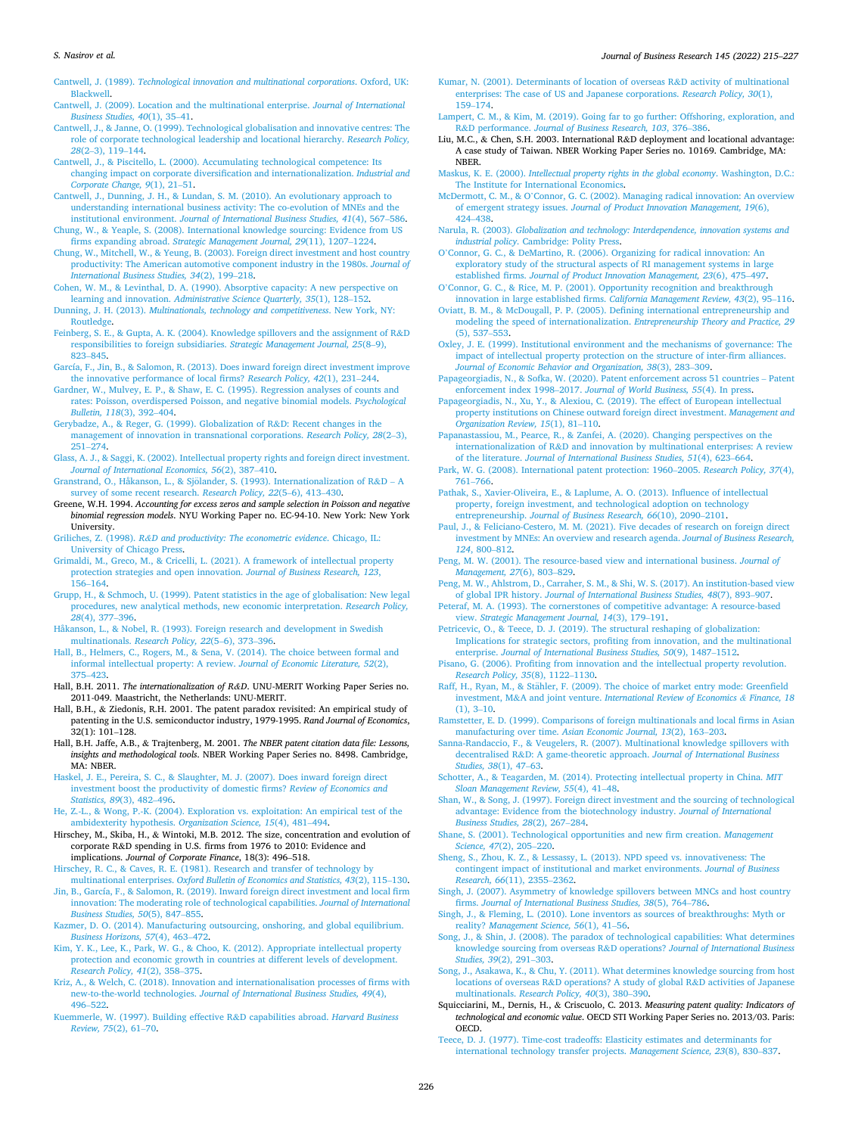#### <span id="page-11-0"></span>*S. Nasirov et al.*

Cantwell, J. (1989). *[Technological innovation and multinational corporations](http://refhub.elsevier.com/S0148-2963(22)00218-1/h0160)*. Oxford, UK: [Blackwell.](http://refhub.elsevier.com/S0148-2963(22)00218-1/h0160)

[Cantwell, J. \(2009\). Location and the multinational enterprise.](http://refhub.elsevier.com/S0148-2963(22)00218-1/h0165) *Journal of International [Business Studies, 40](http://refhub.elsevier.com/S0148-2963(22)00218-1/h0165)*(1), 35–41.

- [Cantwell, J., & Janne, O. \(1999\). Technological globalisation and innovative centres: The](http://refhub.elsevier.com/S0148-2963(22)00218-1/h0170)  [role of corporate technological leadership and locational hierarchy.](http://refhub.elsevier.com/S0148-2963(22)00218-1/h0170) *Research Policy, 28*(2–[3\), 119](http://refhub.elsevier.com/S0148-2963(22)00218-1/h0170)–144.
- [Cantwell, J., & Piscitello, L. \(2000\). Accumulating technological competence: Its](http://refhub.elsevier.com/S0148-2963(22)00218-1/h0175) [changing impact on corporate diversification and internationalization.](http://refhub.elsevier.com/S0148-2963(22)00218-1/h0175) *Industrial and [Corporate Change, 9](http://refhub.elsevier.com/S0148-2963(22)00218-1/h0175)*(1), 21–51.

[Cantwell, J., Dunning, J. H., & Lundan, S. M. \(2010\). An evolutionary approach to](http://refhub.elsevier.com/S0148-2963(22)00218-1/h0180) [understanding international business activity: The co-evolution of MNEs and the](http://refhub.elsevier.com/S0148-2963(22)00218-1/h0180) institutional environment. *[Journal of International Business Studies, 41](http://refhub.elsevier.com/S0148-2963(22)00218-1/h0180)*(4), 567–586.

[Chung, W., & Yeaple, S. \(2008\). International knowledge sourcing: Evidence from US](http://refhub.elsevier.com/S0148-2963(22)00218-1/h0190)  firms expanding abroad. *[Strategic Management Journal, 29](http://refhub.elsevier.com/S0148-2963(22)00218-1/h0190)*(11), 1207–1224.

[Chung, W., Mitchell, W., & Yeung, B. \(2003\). Foreign direct investment and host country](http://refhub.elsevier.com/S0148-2963(22)00218-1/h0195)  [productivity: The American automotive component industry in the 1980s.](http://refhub.elsevier.com/S0148-2963(22)00218-1/h0195) *Journal of [International Business Studies, 34](http://refhub.elsevier.com/S0148-2963(22)00218-1/h0195)*(2), 199–218.

[Cohen, W. M., & Levinthal, D. A. \(1990\). Absorptive capacity: A new perspective on](http://refhub.elsevier.com/S0148-2963(22)00218-1/h0200) learning and innovation. *[Administrative Science Quarterly, 35](http://refhub.elsevier.com/S0148-2963(22)00218-1/h0200)*(1), 128–152.

Dunning, J. H. (2013). *[Multinationals, technology and competitiveness](http://refhub.elsevier.com/S0148-2963(22)00218-1/h0205)*. New York, NY: [Routledge](http://refhub.elsevier.com/S0148-2963(22)00218-1/h0205).

[Feinberg, S. E., & Gupta, A. K. \(2004\). Knowledge spillovers and the assignment of R](http://refhub.elsevier.com/S0148-2963(22)00218-1/h0210)&D [responsibilities to foreign subsidiaries.](http://refhub.elsevier.com/S0148-2963(22)00218-1/h0210) *Strategic Management Journal, 25*(8–9), 823–[845](http://refhub.elsevier.com/S0148-2963(22)00218-1/h0210).

[García, F., Jin, B., & Salomon, R. \(2013\). Does inward foreign direct investment improve](http://refhub.elsevier.com/S0148-2963(22)00218-1/h0220)  [the innovative performance of local firms?](http://refhub.elsevier.com/S0148-2963(22)00218-1/h0220) *Research Policy, 42*(1), 231–244.

[Gardner, W., Mulvey, E. P., & Shaw, E. C. \(1995\). Regression analyses of counts and](http://refhub.elsevier.com/S0148-2963(22)00218-1/h0225) [rates: Poisson, overdispersed Poisson, and negative binomial models.](http://refhub.elsevier.com/S0148-2963(22)00218-1/h0225) *Psychological [Bulletin, 118](http://refhub.elsevier.com/S0148-2963(22)00218-1/h0225)*(3), 392–404.

[Gerybadze, A., & Reger, G. \(1999\). Globalization of R](http://refhub.elsevier.com/S0148-2963(22)00218-1/h0230)&D: Recent changes in the [management of innovation in transnational corporations.](http://refhub.elsevier.com/S0148-2963(22)00218-1/h0230) *Research Policy, 28*(2–3), 251–[274](http://refhub.elsevier.com/S0148-2963(22)00218-1/h0230).

[Glass, A. J., & Saggi, K. \(2002\). Intellectual property rights and foreign direct investment.](http://refhub.elsevier.com/S0148-2963(22)00218-1/h0235)  *[Journal of International Economics, 56](http://refhub.elsevier.com/S0148-2963(22)00218-1/h0235)*(2), 387–410.

Granstrand, O., Håkanson, L., & Sjölander, S. (1993). Internationalization of R&D - A [survey of some recent research.](http://refhub.elsevier.com/S0148-2963(22)00218-1/h0240) *Research Policy, 22*(5–6), 413–430.

Greene, W.H. 1994. *Accounting for excess zeros and sample selection in Poisson and negative binomial regression models*. NYU Working Paper no. EC-94-10. New York: New York University.

- Griliches, Z. (1998). *R&[D and productivity: The econometric evidence](http://refhub.elsevier.com/S0148-2963(22)00218-1/h0250)*. Chicago, IL: [University of Chicago Press.](http://refhub.elsevier.com/S0148-2963(22)00218-1/h0250)
- [Grimaldi, M., Greco, M., & Cricelli, L. \(2021\). A framework of intellectual property](http://refhub.elsevier.com/S0148-2963(22)00218-1/h0255) [protection strategies and open innovation.](http://refhub.elsevier.com/S0148-2963(22)00218-1/h0255) *Journal of Business Research, 123*, 156–[164](http://refhub.elsevier.com/S0148-2963(22)00218-1/h0255).

[Grupp, H., & Schmoch, U. \(1999\). Patent statistics in the age of globalisation: New legal](http://refhub.elsevier.com/S0148-2963(22)00218-1/h0260)  [procedures, new analytical methods, new economic interpretation.](http://refhub.elsevier.com/S0148-2963(22)00218-1/h0260) *Research Policy, 28*[\(4\), 377](http://refhub.elsevier.com/S0148-2963(22)00218-1/h0260)–396.

[Håkanson, L., & Nobel, R. \(1993\). Foreign research and development in Swedish](http://refhub.elsevier.com/S0148-2963(22)00218-1/h0265) multinationals. *[Research Policy, 22](http://refhub.elsevier.com/S0148-2963(22)00218-1/h0265)*(5–6), 373–396.

[Hall, B., Helmers, C., Rogers, M., & Sena, V. \(2014\). The choice between formal and](http://refhub.elsevier.com/S0148-2963(22)00218-1/h0270) [informal intellectual property: A review.](http://refhub.elsevier.com/S0148-2963(22)00218-1/h0270) *Journal of Economic Literature, 52*(2), 375–[423](http://refhub.elsevier.com/S0148-2963(22)00218-1/h0270).

Hall, B.H. 2011. *The internationalization of R&D*. UNU-MERIT Working Paper Series no. 2011-049. Maastricht, the Netherlands: UNU-MERIT.

Hall, B.H., & Ziedonis, R.H. 2001. The patent paradox revisited: An empirical study of patenting in the U.S. semiconductor industry, 1979-1995. *Rand Journal of Economics*, 32(1): 101–128.

Hall, B.H. Jaffe, A.B., & Trajtenberg, M. 2001. *The NBER patent citation data file: Lessons, insights and methodological tools*. NBER Working Paper Series no. 8498. Cambridge, MA: NBER.

[Haskel, J. E., Pereira, S. C., & Slaughter, M. J. \(2007\). Does inward foreign direct](http://refhub.elsevier.com/S0148-2963(22)00218-1/h0290)  [investment boost the productivity of domestic firms?](http://refhub.elsevier.com/S0148-2963(22)00218-1/h0290) *Review of Economics and [Statistics, 89](http://refhub.elsevier.com/S0148-2963(22)00218-1/h0290)*(3), 482–496.

[He, Z.-L., & Wong, P.-K. \(2004\). Exploration vs. exploitation: An empirical test of the](http://refhub.elsevier.com/S0148-2963(22)00218-1/h0295) [ambidexterity hypothesis.](http://refhub.elsevier.com/S0148-2963(22)00218-1/h0295) *Organization Science, 15*(4), 481–494.

Hirschey, M., Skiba, H., & Wintoki, M.B. 2012. The size, concentration and evolution of corporate R&D spending in U.S. firms from 1976 to 2010: Evidence and implications. *Journal of Corporate Finance*, 18(3): 496–518.

[Hirschey, R. C., & Caves, R. E. \(1981\). Research and transfer of technology by](http://refhub.elsevier.com/S0148-2963(22)00218-1/h0305) multinational enterprises. *[Oxford Bulletin of Economics and Statistics, 43](http://refhub.elsevier.com/S0148-2963(22)00218-1/h0305)*(2), 115–130.

[Jin, B., García, F., & Salomon, R. \(2019\). Inward foreign direct investment and local firm](http://refhub.elsevier.com/S0148-2963(22)00218-1/h0310)  [innovation: The moderating role of technological capabilities.](http://refhub.elsevier.com/S0148-2963(22)00218-1/h0310) *Journal of International [Business Studies, 50](http://refhub.elsevier.com/S0148-2963(22)00218-1/h0310)*(5), 847–855.

[Kazmer, D. O. \(2014\). Manufacturing outsourcing, onshoring, and global equilibrium.](http://refhub.elsevier.com/S0148-2963(22)00218-1/h0315)  *[Business Horizons, 57](http://refhub.elsevier.com/S0148-2963(22)00218-1/h0315)*(4), 463–472.

[Kim, Y. K., Lee, K., Park, W. G., & Choo, K. \(2012\). Appropriate intellectual property](http://refhub.elsevier.com/S0148-2963(22)00218-1/h0320)  [protection and economic growth in countries at different levels of development.](http://refhub.elsevier.com/S0148-2963(22)00218-1/h0320) *[Research Policy, 41](http://refhub.elsevier.com/S0148-2963(22)00218-1/h0320)*(2), 358–375.

[Kriz, A., & Welch, C. \(2018\). Innovation and internationalisation processes of firms with](http://refhub.elsevier.com/S0148-2963(22)00218-1/h0325)  new-to-the-world technologies. *[Journal of International Business Studies, 49](http://refhub.elsevier.com/S0148-2963(22)00218-1/h0325)*(4), 496–[522](http://refhub.elsevier.com/S0148-2963(22)00218-1/h0325).

[Kuemmerle, W. \(1997\). Building effective R](http://refhub.elsevier.com/S0148-2963(22)00218-1/h0330)&D capabilities abroad. *Harvard Business [Review, 75](http://refhub.elsevier.com/S0148-2963(22)00218-1/h0330)*(2), 61–70.

- [Kumar, N. \(2001\). Determinants of location of overseas R](http://refhub.elsevier.com/S0148-2963(22)00218-1/h0335)&D activity of multinational [enterprises: The case of US and Japanese corporations.](http://refhub.elsevier.com/S0148-2963(22)00218-1/h0335) *Research Policy, 30*(1), 159–[174](http://refhub.elsevier.com/S0148-2963(22)00218-1/h0335).
- [Lampert, C. M., & Kim, M. \(2019\). Going far to go further: Offshoring, exploration, and](http://refhub.elsevier.com/S0148-2963(22)00218-1/h0340)  R&D performance. *[Journal of Business Research, 103](http://refhub.elsevier.com/S0148-2963(22)00218-1/h0340)*, 376–386.
- Liu, M.C., & Chen, S.H. 2003. International R&D deployment and locational advantage: A case study of Taiwan. NBER Working Paper Series no. 10169. Cambridge, MA: NBER.

Maskus, K. E. (2000). *[Intellectual property rights in the global economy](http://refhub.elsevier.com/S0148-2963(22)00218-1/h0350)*. Washington, D.C.: [The Institute for International Economics.](http://refhub.elsevier.com/S0148-2963(22)00218-1/h0350)

McDermott, C. M., & O'[Connor, G. C. \(2002\). Managing radical innovation: An overview](http://refhub.elsevier.com/S0148-2963(22)00218-1/h0355)  of emergent strategy issues. *[Journal of Product Innovation Management, 19](http://refhub.elsevier.com/S0148-2963(22)00218-1/h0355)*(6), 424–[438](http://refhub.elsevier.com/S0148-2963(22)00218-1/h0355).

Narula, R. (2003). *[Globalization and technology: Interdependence, innovation systems and](http://refhub.elsevier.com/S0148-2963(22)00218-1/h0360)  industrial policy*[. Cambridge: Polity Press](http://refhub.elsevier.com/S0148-2963(22)00218-1/h0360).

O'[Connor, G. C., & DeMartino, R. \(2006\). Organizing for radical innovation: An](http://refhub.elsevier.com/S0148-2963(22)00218-1/h0365)  [exploratory study of the structural aspects of RI management systems in large](http://refhub.elsevier.com/S0148-2963(22)00218-1/h0365) established firms. *[Journal of Product Innovation Management, 23](http://refhub.elsevier.com/S0148-2963(22)00218-1/h0365)*(6), 475–497.

O'[Connor, G. C., & Rice, M. P. \(2001\). Opportunity recognition and breakthrough](http://refhub.elsevier.com/S0148-2963(22)00218-1/h0370)  [innovation in large established firms.](http://refhub.elsevier.com/S0148-2963(22)00218-1/h0370) *California Management Review, 43*(2), 95–116.

[Oviatt, B. M., & McDougall, P. P. \(2005\). Defining international entrepreneurship and](http://refhub.elsevier.com/S0148-2963(22)00218-1/h0375)  [modeling the speed of internationalization.](http://refhub.elsevier.com/S0148-2963(22)00218-1/h0375) *Entrepreneurship Theory and Practice, 29*  [\(5\), 537](http://refhub.elsevier.com/S0148-2963(22)00218-1/h0375)–553.

[Oxley, J. E. \(1999\). Institutional environment and the mechanisms of governance: The](http://refhub.elsevier.com/S0148-2963(22)00218-1/h0380)  [impact of intellectual property protection on the structure of inter-firm alliances.](http://refhub.elsevier.com/S0148-2963(22)00218-1/h0380)  *[Journal of Economic Behavior and Organization, 38](http://refhub.elsevier.com/S0148-2963(22)00218-1/h0380)*(3), 283–309.

[Papageorgiadis, N., & Sofka, W. \(2020\). Patent enforcement across 51 countries](http://refhub.elsevier.com/S0148-2963(22)00218-1/h0385) – Patent enforcement index 1998–2017. *[Journal of World Business, 55](http://refhub.elsevier.com/S0148-2963(22)00218-1/h0385)*(4). In press.

[Papageorgiadis, N., Xu, Y., & Alexiou, C. \(2019\). The effect of European intellectual](http://refhub.elsevier.com/S0148-2963(22)00218-1/h0390)  [property institutions on Chinese outward foreign direct investment.](http://refhub.elsevier.com/S0148-2963(22)00218-1/h0390) *Management and [Organization Review, 15](http://refhub.elsevier.com/S0148-2963(22)00218-1/h0390)*(1), 81–110.

[Papanastassiou, M., Pearce, R., & Zanfei, A. \(2020\). Changing perspectives on the](http://refhub.elsevier.com/S0148-2963(22)00218-1/h0395)  internationalization of R&[D and innovation by multinational enterprises: A review](http://refhub.elsevier.com/S0148-2963(22)00218-1/h0395) of the literature. *[Journal of International Business Studies, 51](http://refhub.elsevier.com/S0148-2963(22)00218-1/h0395)*(4), 623–664.

[Park, W. G. \(2008\). International patent protection: 1960](http://refhub.elsevier.com/S0148-2963(22)00218-1/h0400)–2005. *Research Policy, 37*(4), 761–[766](http://refhub.elsevier.com/S0148-2963(22)00218-1/h0400).

[Pathak, S., Xavier-Oliveira, E., & Laplume, A. O. \(2013\). Influence of intellectual](http://refhub.elsevier.com/S0148-2963(22)00218-1/h0405) [property, foreign investment, and technological adoption on technology](http://refhub.elsevier.com/S0148-2963(22)00218-1/h0405)  entrepreneurship. *[Journal of Business Research, 66](http://refhub.elsevier.com/S0148-2963(22)00218-1/h0405)*(10), 2090–2101.

[Paul, J., & Feliciano-Cestero, M. M. \(2021\). Five decades of research on foreign direct](http://refhub.elsevier.com/S0148-2963(22)00218-1/h0410) [investment by MNEs: An overview and research agenda.](http://refhub.elsevier.com/S0148-2963(22)00218-1/h0410) *Journal of Business Research, 124*[, 800](http://refhub.elsevier.com/S0148-2963(22)00218-1/h0410)–812.

[Peng, M. W. \(2001\). The resource-based view and international business.](http://refhub.elsevier.com/S0148-2963(22)00218-1/h0415) *Journal of [Management, 27](http://refhub.elsevier.com/S0148-2963(22)00218-1/h0415)*(6), 803–829.

[Peng, M. W., Ahlstrom, D., Carraher, S. M., & Shi, W. S. \(2017\). An institution-based view](http://refhub.elsevier.com/S0148-2963(22)00218-1/h0420)  of global IPR history. *[Journal of International Business Studies, 48](http://refhub.elsevier.com/S0148-2963(22)00218-1/h0420)*(7), 893–907.

[Peteraf, M. A. \(1993\). The cornerstones of competitive advantage: A resource-based](http://refhub.elsevier.com/S0148-2963(22)00218-1/h0425)  view. *[Strategic Management Journal, 14](http://refhub.elsevier.com/S0148-2963(22)00218-1/h0425)*(3), 179–191.

Petricevic, O., & Teece, D. J. (2019). The structural reshaping of globalization: [Implications for strategic sectors, profiting from innovation, and the multinational](http://refhub.elsevier.com/S0148-2963(22)00218-1/h0430)  enterprise. *[Journal of International Business Studies, 50](http://refhub.elsevier.com/S0148-2963(22)00218-1/h0430)*(9), 1487–1512.

[Pisano, G. \(2006\). Profiting from innovation and the intellectual property revolution.](http://refhub.elsevier.com/S0148-2963(22)00218-1/h0435)

*[Research Policy, 35](http://refhub.elsevier.com/S0148-2963(22)00218-1/h0435)*(8), 1122–1130.<br>Raff, H., Ryan, M., & Stähler, F. (2009). The choice of market entry mode: Greenfield investment, M&A and joint venture. *[International Review of Economics](http://refhub.elsevier.com/S0148-2963(22)00218-1/h0440) & Finance, 18*  [\(1\), 3](http://refhub.elsevier.com/S0148-2963(22)00218-1/h0440)–10.

[Ramstetter, E. D. \(1999\). Comparisons of foreign multinationals and local firms in Asian](http://refhub.elsevier.com/S0148-2963(22)00218-1/h0445)  manufacturing over time. *[Asian Economic Journal, 13](http://refhub.elsevier.com/S0148-2963(22)00218-1/h0445)*(2), 163–203.

[Sanna-Randaccio, F., & Veugelers, R. \(2007\). Multinational knowledge spillovers with](http://refhub.elsevier.com/S0148-2963(22)00218-1/h0450)  decentralised R&[D: A game-theoretic approach.](http://refhub.elsevier.com/S0148-2963(22)00218-1/h0450) *Journal of International Business [Studies, 38](http://refhub.elsevier.com/S0148-2963(22)00218-1/h0450)*(1), 47–63.

[Schotter, A., & Teagarden, M. \(2014\). Protecting intellectual property in China.](http://refhub.elsevier.com/S0148-2963(22)00218-1/h0455) *MIT [Sloan Management Review, 55](http://refhub.elsevier.com/S0148-2963(22)00218-1/h0455)*(4), 41–48.

[Shan, W., & Song, J. \(1997\). Foreign direct investment and the sourcing of technological](http://refhub.elsevier.com/S0148-2963(22)00218-1/h0460)  [advantage: Evidence from the biotechnology industry.](http://refhub.elsevier.com/S0148-2963(22)00218-1/h0460) *Journal of International [Business Studies, 28](http://refhub.elsevier.com/S0148-2963(22)00218-1/h0460)*(2), 267–284.

[Shane, S. \(2001\). Technological opportunities and new firm creation.](http://refhub.elsevier.com/S0148-2963(22)00218-1/h0465) *Management [Science, 47](http://refhub.elsevier.com/S0148-2963(22)00218-1/h0465)*(2), 205–220.

[Sheng, S., Zhou, K. Z., & Lessassy, L. \(2013\). NPD speed vs. innovativeness: The](http://refhub.elsevier.com/S0148-2963(22)00218-1/h0470) [contingent impact of institutional and market environments.](http://refhub.elsevier.com/S0148-2963(22)00218-1/h0470) *Journal of Business [Research, 66](http://refhub.elsevier.com/S0148-2963(22)00218-1/h0470)*(11), 2355–2362.

[Singh, J. \(2007\). Asymmetry of knowledge spillovers between MNCs and host country](http://refhub.elsevier.com/S0148-2963(22)00218-1/h0475) firms. *[Journal of International Business Studies, 38](http://refhub.elsevier.com/S0148-2963(22)00218-1/h0475)*(5), 764–786.

[Singh, J., & Fleming, L. \(2010\). Lone inventors as sources of breakthroughs: Myth or](http://refhub.elsevier.com/S0148-2963(22)00218-1/h0480)  reality? *[Management Science, 56](http://refhub.elsevier.com/S0148-2963(22)00218-1/h0480)*(1), 41–56.

[Song, J., & Shin, J. \(2008\). The paradox of technological capabilities: What determines](http://refhub.elsevier.com/S0148-2963(22)00218-1/h0485)  [knowledge sourcing from overseas R](http://refhub.elsevier.com/S0148-2963(22)00218-1/h0485)&D operations? *Journal of International Business [Studies, 39](http://refhub.elsevier.com/S0148-2963(22)00218-1/h0485)*(2), 291–303.

[Song, J., Asakawa, K., & Chu, Y. \(2011\). What determines knowledge sourcing from host](http://refhub.elsevier.com/S0148-2963(22)00218-1/h0490)  locations of overseas R&[D operations? A study of global R](http://refhub.elsevier.com/S0148-2963(22)00218-1/h0490)&D activities of Japanese multinationals. *[Research Policy, 40](http://refhub.elsevier.com/S0148-2963(22)00218-1/h0490)*(3), 380–390.

Squicciarini, M., Dernis, H., & Criscuolo, C. 2013. *Measuring patent quality: Indicators of technological and economic value*. OECD STI Working Paper Series no. 2013/03. Paris: **OECD** 

[Teece, D. J. \(1977\). Time-cost tradeoffs: Elasticity estimates and determinants for](http://refhub.elsevier.com/S0148-2963(22)00218-1/h0500)  [international technology transfer projects.](http://refhub.elsevier.com/S0148-2963(22)00218-1/h0500) *Management Science, 23*(8), 830–837.